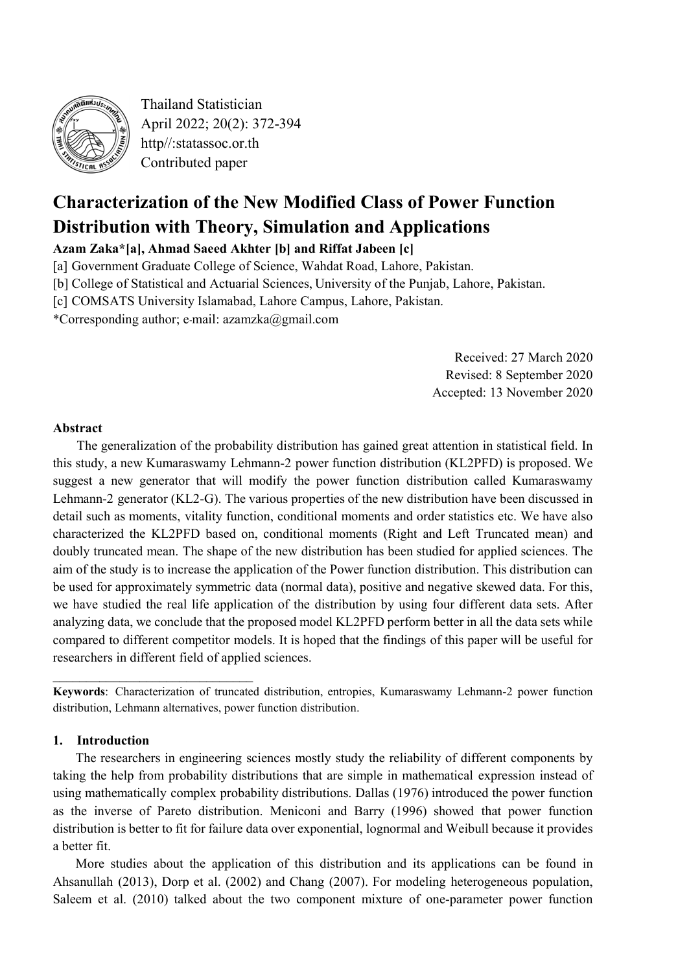

Thailand Statistician April 2022; 20(2): 372-394 http//:statassoc.or.th Contributed paper

# **Characterization of the New Modified Class of Power Function Distribution with Theory, Simulation and Applications**

**Azam Zaka\*[a], Ahmad Saeed Akhter [b] and Riffat Jabeen [c]**

[a] Government Graduate College of Science, Wahdat Road, Lahore, Pakistan.

[b] College of Statistical and Actuarial Sciences, University of the Punjab, Lahore, Pakistan.

[c] COMSATS University Islamabad, Lahore Campus, Lahore, Pakistan.

\*Corresponding author; e-mail: azamzka@gmail.com

Received: 27 March 2020 Revised: 8 September 2020 Accepted: 13 November 2020

# **Abstract**

The generalization of the probability distribution has gained great attention in statistical field. In this study, a new Kumaraswamy Lehmann-2 power function distribution (KL2PFD) is proposed. We suggest a new generator that will modify the power function distribution called Kumaraswamy Lehmann-2 generator (KL2-G). The various properties of the new distribution have been discussed in detail such as moments, vitality function, conditional moments and order statistics etc. We have also characterized the KL2PFD based on, conditional moments (Right and Left Truncated mean) and doubly truncated mean. The shape of the new distribution has been studied for applied sciences. The aim of the study is to increase the application of the Power function distribution. This distribution can be used for approximately symmetric data (normal data), positive and negative skewed data. For this, we have studied the real life application of the distribution by using four different data sets. After analyzing data, we conclude that the proposed model KL2PFD perform better in all the data sets while compared to different competitor models. It is hoped that the findings of this paper will be useful for researchers in different field of applied sciences.

**Keywords**: Characterization of truncated distribution, entropies, Kumaraswamy Lehmann-2 power function distribution, Lehmann alternatives, power function distribution.

#### **1. Introduction**

\_\_\_\_\_\_\_\_\_\_\_\_\_\_\_\_\_\_\_\_\_\_\_\_\_\_\_\_\_\_

The researchers in engineering sciences mostly study the reliability of different components by taking the help from probability distributions that are simple in mathematical expression instead of using mathematically complex probability distributions. Dallas (1976) introduced the power function as the inverse of Pareto distribution. Meniconi and Barry (1996) showed that power function distribution is better to fit for failure data over exponential, lognormal and Weibull because it provides a better fit.

More studies about the application of this distribution and its applications can be found in Ahsanullah (2013), Dorp et al. (2002) and Chang (2007). For modeling heterogeneous population, Saleem et al. (2010) talked about the two component mixture of one-parameter power function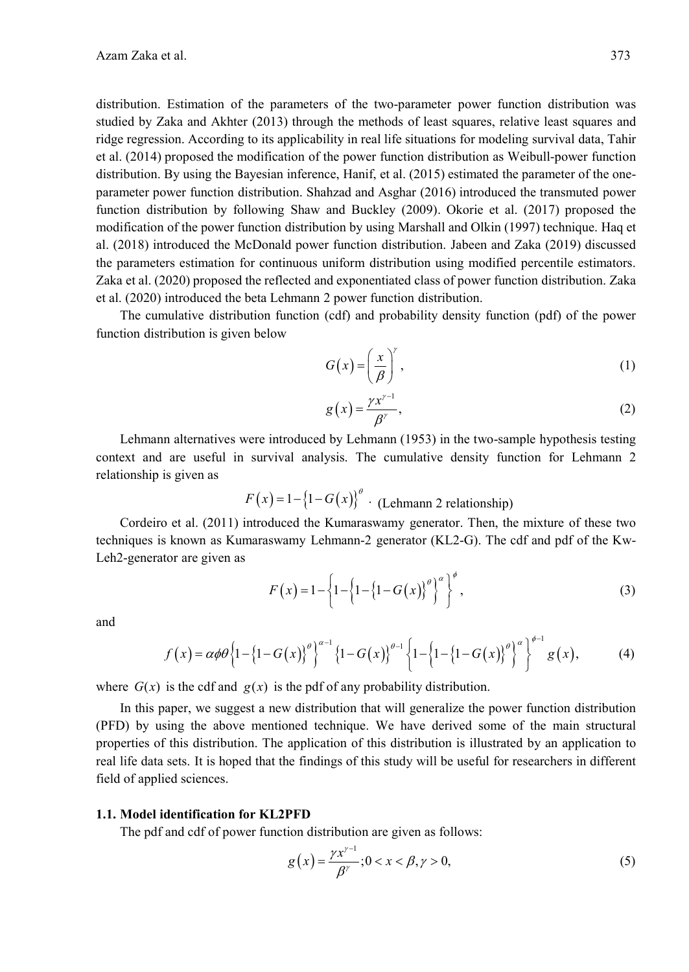distribution. Estimation of the parameters of the two-parameter power function distribution was studied by Zaka and Akhter (2013) through the methods of least squares, relative least squares and ridge regression. According to its applicability in real life situations for modeling survival data, Tahir et al. (2014) proposed the modification of the power function distribution as Weibull-power function distribution. By using the Bayesian inference, Hanif, et al. (2015) estimated the parameter of the oneparameter power function distribution. Shahzad and Asghar (2016) introduced the transmuted power function distribution by following Shaw and Buckley (2009). Okorie et al. (2017) proposed the modification of the power function distribution by using Marshall and Olkin (1997) technique. Haq et al. (2018) introduced the McDonald power function distribution. Jabeen and Zaka (2019) discussed the parameters estimation for continuous uniform distribution using modified percentile estimators. Zaka et al. (2020) proposed the reflected and exponentiated class of power function distribution. Zaka et al. (2020) introduced the beta Lehmann 2 power function distribution.

The cumulative distribution function (cdf) and probability density function (pdf) of the power function distribution is given below

$$
G(x) = \left(\frac{x}{\beta}\right)^{y},\tag{1}
$$

$$
g\left(x\right) = \frac{\gamma x^{\gamma - 1}}{\beta^{\gamma}},\tag{2}
$$

Lehmann alternatives were introduced by Lehmann (1953) in the two-sample hypothesis testing context and are useful in survival analysis. The cumulative density function for Lehmann 2 relationship is given as

$$
F(x) = 1 - \{1 - G(x)\}^{\theta}
$$
 (Lehmann 2 relationship)

Cordeiro et al. (2011) introduced the Kumaraswamy generator. Then, the mixture of these two techniques is known as Kumaraswamy Lehmann-2 generator (KL2-G). The cdf and pdf of the Kw-Leh2-generator are given as

$$
F(x) = 1 - \left\{ 1 - \left\{ 1 - \left\{ 1 - G(x) \right\}^{\theta} \right\}^{\alpha} \right\}^{\phi},\tag{3}
$$

and

$$
f(x) = \alpha \phi \theta \left\{ 1 - \left\{ 1 - G(x) \right\}^{\theta} \right\}^{\alpha - 1} \left\{ 1 - G(x) \right\}^{\theta - 1} \left\{ 1 - \left\{ 1 - \left\{ 1 - G(x) \right\}^{\theta} \right\}^{\alpha} \right\}^{\phi - 1} g(x),\tag{4}
$$

where  $G(x)$  is the cdf and  $g(x)$  is the pdf of any probability distribution.

In this paper, we suggest a new distribution that will generalize the power function distribution (PFD) by using the above mentioned technique. We have derived some of the main structural properties of this distribution. The application of this distribution is illustrated by an application to real life data sets. It is hoped that the findings of this study will be useful for researchers in different field of applied sciences.

#### **1.1. Model identification for KL2PFD**

The pdf and cdf of power function distribution are given as follows:

$$
g(x) = \frac{\gamma x^{\gamma - 1}}{\beta^{\gamma}}; 0 < x < \beta, \gamma > 0,\tag{5}
$$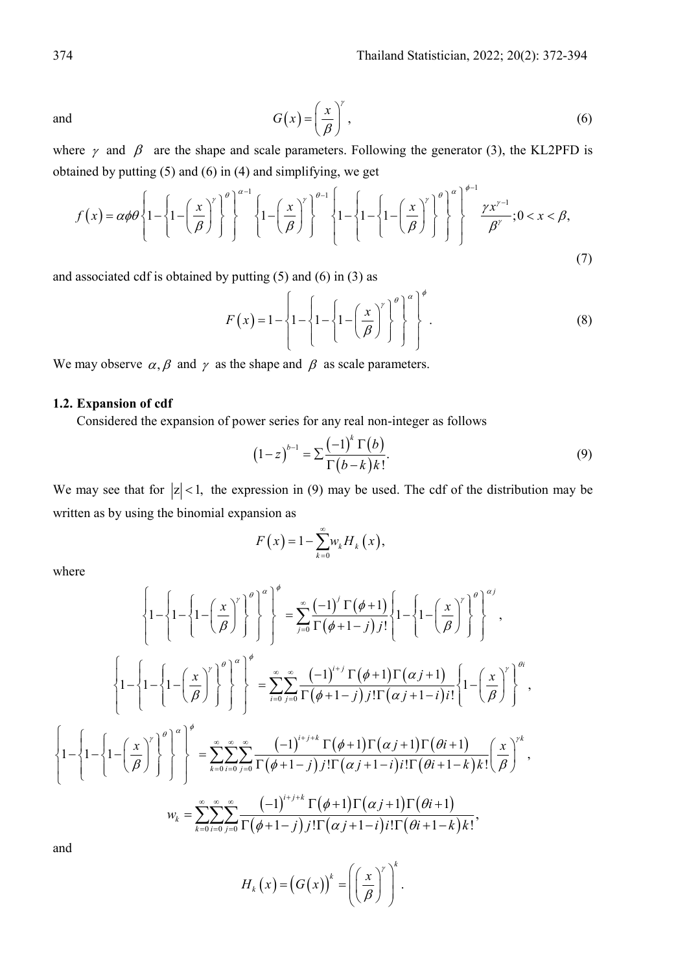and  $G(x) = \left(\frac{x}{a}\right)^{y}$ ,  $=\left(\frac{x}{\beta}\right)$ (6)

where  $\gamma$  and  $\beta$  are the shape and scale parameters. Following the generator (3), the KL2PFD is obtained by putting (5) and (6) in (4) and simplifying, we get

$$
f(x) = \alpha \phi \theta \left\{ 1 - \left\{ 1 - \left( \frac{x}{\beta} \right)^{\gamma} \right\}^{\theta} \right\}^{\alpha - 1} \left\{ 1 - \left( \frac{x}{\beta} \right)^{\gamma} \right\}^{\theta - 1} \left\{ 1 - \left\{ 1 - \left( \frac{x}{\beta} \right)^{\gamma} \right\}^{\theta} \right\}^{\alpha} \right\}^{\phi - 1} \left\{ \frac{\gamma x^{\gamma - 1}}{\beta^{\gamma}}; 0 < x < \beta, \tag{7}
$$

and associated cdf is obtained by putting  $(5)$  and  $(6)$  in  $(3)$  as

$$
F(x) = 1 - \left\{ 1 - \left\{ 1 - \left( \frac{x}{\beta} \right)^{r} \right\}^{\theta} \right\}^{\alpha}.
$$
 (8)

We may observe  $\alpha$ ,  $\beta$  and  $\gamma$  as the shape and  $\beta$  as scale parameters.

# **1.2. Expansion of cdf**

Considered the expansion of power series for any real non-integer as follows

$$
\left(1-z\right)^{b-1} = \sum \frac{\left(-1\right)^{k} \Gamma(b)}{\Gamma(b-k)k!}.\tag{9}
$$

We may see that for  $|z| < 1$ , the expression in (9) may be used. The cdf of the distribution may be written as by using the binomial expansion as

$$
F(x) = 1 - \sum_{k=0}^{\infty} w_k H_k(x),
$$

where

$$
\left\{1-\left\{1-\left(\frac{x}{\beta}\right)^{r}\right\}^{\theta}\right\}^{\alpha}\right\}^{\beta}=\sum_{j=0}^{\infty}\frac{(-1)^{j}\Gamma(\phi+1)}{\Gamma(\phi+1-j)j!}\left\{1-\left\{1-\left(\frac{x}{\beta}\right)^{r}\right\}^{\theta}\right\}^{\alpha_{j}},
$$
\n
$$
\left\{1-\left\{1-\left(1-\left(\frac{x}{\beta}\right)^{r}\right)^{\theta}\right\}^{\alpha}\right\}^{\beta}=\sum_{i=0}^{\infty}\sum_{j=0}^{\infty}\frac{(-1)^{i+j}\Gamma(\phi+1)\Gamma(\alpha j+1)}{\Gamma(\phi+1-j)j!\Gamma(\alpha j+1-i)j!}\left\{1-\left(\frac{x}{\beta}\right)^{r}\right\}^{\beta_{i}},
$$
\n
$$
\left\{1-\left\{1-\left(1-\left(\frac{x}{\beta}\right)^{r}\right)^{\theta}\right\}^{\alpha}\right\}^{\beta}=\sum_{k=0}^{\infty}\sum_{i=0}^{\infty}\frac{(-1)^{i+j+k}\Gamma(\phi+1)\Gamma(\alpha j+1)\Gamma(\theta i+1)}{\Gamma(\phi+1-j)j!\Gamma(\alpha j+1-i)j!\Gamma(\theta i+1-k)k!}\left(\frac{x}{\beta}\right)^{j,k},
$$
\n
$$
w_{k}=\sum_{k=0}^{\infty}\sum_{i=0}^{\infty}\sum_{j=0}^{\infty}\frac{(-1)^{i+j+k}\Gamma(\phi+1)\Gamma(\alpha j+1)\Gamma(\theta i+1)}{\Gamma(\phi+1-j)j!\Gamma(\alpha j+1-i)j!\Gamma(\theta i+1-k)k!},
$$

and

$$
H_k(x) = (G(x))^{k} = \left(\left(\frac{x}{\beta}\right)^{r}\right)^{k}.
$$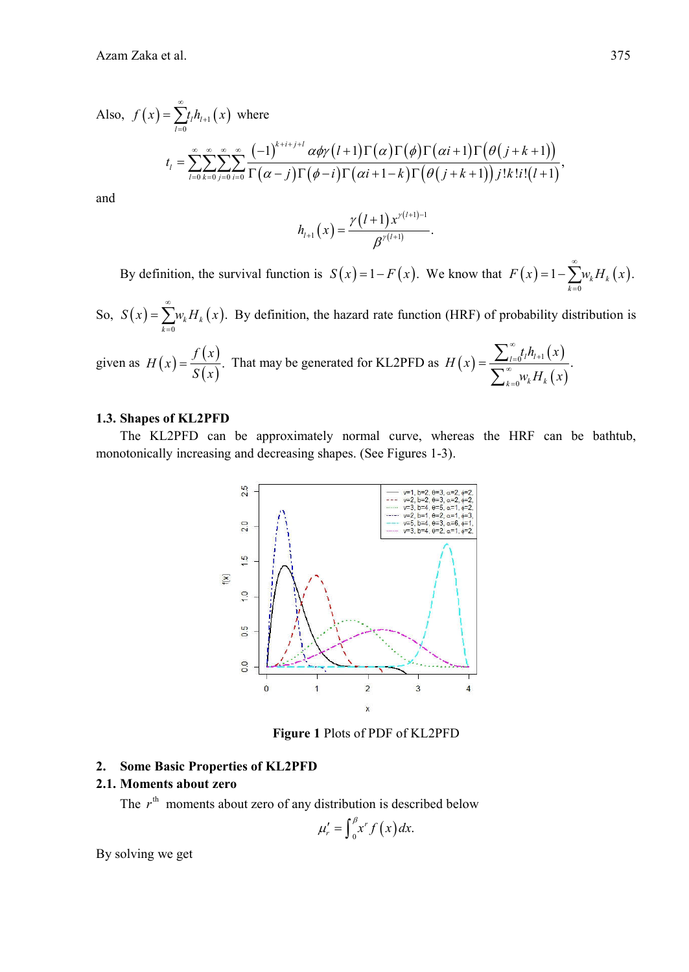Also, 
$$
f(x) = \sum_{l=0}^{\infty} t_l h_{l+1}(x)
$$
 where  

$$
t_l = \sum_{l=0}^{\infty} \sum_{k=0}^{\infty} \sum_{j=0}^{\infty} \sum_{i=0}^{\infty} \frac{(-1)^{k+i+j+l} \alpha \phi \gamma(l+1) \Gamma(\alpha) \Gamma(\phi) \Gamma(\alpha i+1) \Gamma(\theta(j+k+1))}{\Gamma(\alpha-j) \Gamma(\phi-i) \Gamma(\alpha i+1-k) \Gamma(\theta(j+k+1)) j! k! i! (l+1)},
$$

and

$$
h_{l+1}(x) = \frac{\gamma(l+1)x^{\gamma(l+1)-1}}{\beta^{\gamma(l+1)}}.
$$

By definition, the survival function is  $S(x) = 1 - F(x)$ . We know that  $F(x) = 1 - \sum_{k=0}^{n} w_k H_k(x)$ .  $F(x) = 1 - \sum_{k=1}^{\infty} w_k H_k(x)$  $=1-\sum_{k=0}$ 

So,  $S(x) = \sum_{k=0}^{n} w_k H_k(x)$ .  $S(x) = \sum_{k=1}^{\infty} w_k H_k(x)$  $=\sum_{k=0}$   $W_k H_k(x)$ . By definition, the hazard rate function (HRF) of probability distribution is

given as 
$$
H(x) = \frac{f(x)}{S(x)}
$$
. That may be generated for KL2PFD as  $H(x) = \frac{\sum_{l=0}^{\infty} t_l h_{l+1}(x)}{\sum_{k=0}^{\infty} w_k H_k(x)}$ .

# **1.3. Shapes of KL2PFD**

The KL2PFD can be approximately normal curve, whereas the HRF can be bathtub, monotonically increasing and decreasing shapes. (See Figures 1-3).



**Figure 1** Plots of PDF of KL2PFD

## **2. Some Basic Properties of KL2PFD**

# **2.1. Moments about zero**

The  $r<sup>th</sup>$  moments about zero of any distribution is described below

$$
\mu'_{r}=\int_{0}^{\beta}x^{r}f\left(x\right)dx.
$$

By solving we get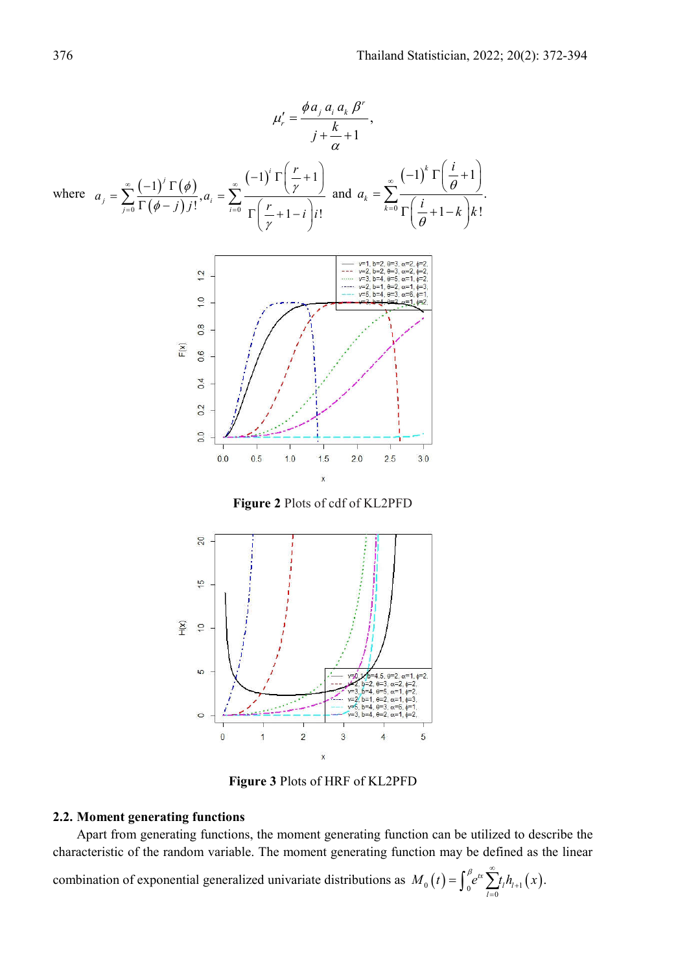

**Figure 2** Plots of cdf of KL2PFD



**Figure 3** Plots of HRF of KL2PFD

# **2.2. Moment generating functions**

Apart from generating functions, the moment generating function can be utilized to describe the characteristic of the random variable. The moment generating function may be defined as the linear

combination of exponential generalized univariate distributions as  $M_0(t) = \int_0^t e^{tx} \sum_{l=0} t_l h_{l+1}(x)$ .  $M_0(t) = \int_0^\beta e^{tx} \sum_{l=0}^\infty t_l h_{l+1}(x)$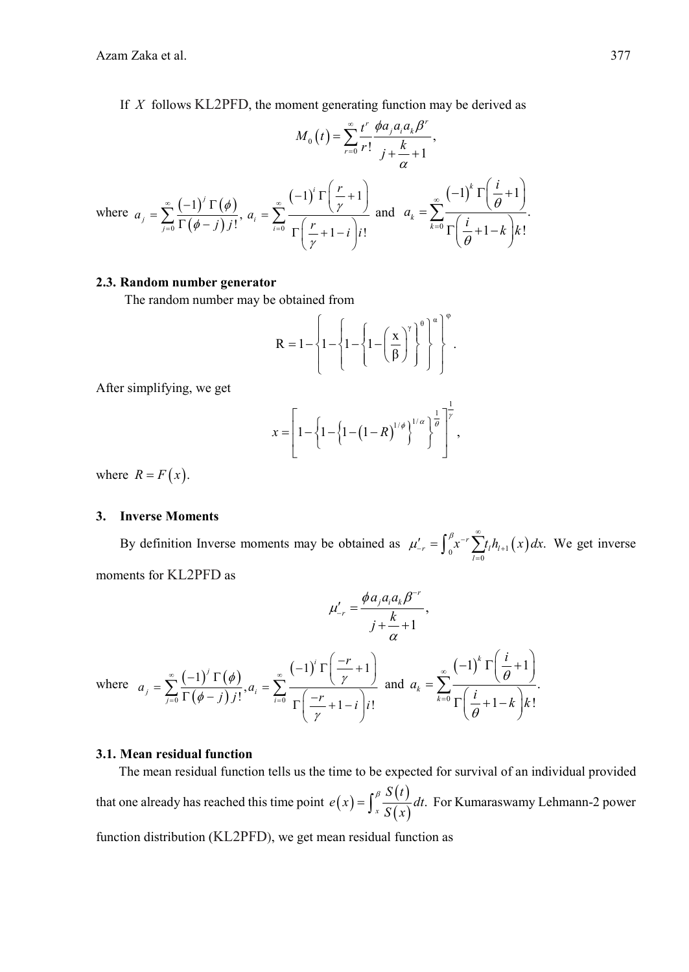If *X* follows KL2PFD, the moment generating function may be derived as

$$
M_0(t) = \sum_{r=0}^{\infty} \frac{t^r}{r!} \frac{\phi a_j a_i a_k \beta^r}{j + \frac{k}{\alpha} + 1},
$$
  
where  $a_j = \sum_{j=0}^{\infty} \frac{(-1)^j \Gamma(\phi)}{\Gamma(\phi - j) j!}$ ,  $a_i = \sum_{i=0}^{\infty} \frac{(-1)^i \Gamma(\frac{r}{\gamma} + 1)}{\Gamma(\frac{r}{\gamma} + 1 - i) j!}$  and  $a_k = \sum_{k=0}^{\infty} \frac{(-1)^k \Gamma(\frac{i}{\theta} + 1)}{\Gamma(\frac{i}{\theta} + 1 - k) k!}$ .

## **2.3. Random number generator**

The random number may be obtained from

$$
R = 1 - \left\{ 1 - \left\{ 1 - \left\{ 1 - \left( \frac{x}{\beta} \right)^{\gamma} \right\}^{\theta} \right\}^{\alpha} \right\}^{\varphi}.
$$

After simplifying, we get

$$
x = \left[1 - \left\{1 - \left(1 - (1 - R)^{1/\phi}\right)^{1/\alpha}\right\}^{\frac{1}{\theta}}\right]^{\frac{1}{\gamma}},
$$

where  $R = F(x)$ .

#### **3. Inverse Moments**

By definition Inverse moments may be obtained as  $\mu'_{-r} = \int_0^r x^{-r} \sum_{l=0}^r t_l h_{l+1}(x) dx$ .  $\mu'_{-r} = \int_{0}^{\beta} x^{-r} \sum_{l} f_l h_{l+1}(x) dx$  $U_{-r} = \int_{0}^{\beta} x^{-r} \sum_{l=0}^{\infty} t_{l} h_{l+1}(x) dx$ . We get inverse moments for KL2PFD as

$$
\mu'_{-r} = \frac{\phi a_j a_i a_k \beta^{-r}}{j + \frac{k}{\alpha} + 1},
$$
  
where  $a_j = \sum_{j=0}^{\infty} \frac{(-1)^j \Gamma(\phi)}{\Gamma(\phi - j) j!}, a_i = \sum_{i=0}^{\infty} \frac{(-1)^i \Gamma(\frac{-r}{\gamma} + 1)}{\Gamma(\frac{-r}{\gamma} + 1 - i) j!}$  and  $a_k = \sum_{k=0}^{\infty} \frac{(-1)^k \Gamma(\frac{i}{\theta} + 1)}{\Gamma(\frac{i}{\theta} + 1 - k) k!}.$ 

# **3.1. Mean residual function**

The mean residual function tells us the time to be expected for survival of an individual provided that one already has reached this time point  $e(x) = \int_x^{\beta} \frac{S(t)}{S(x)} dt$ .  $=\int_{x}^{\beta} \frac{S(t)}{S(x)} dt$ . For Kumaraswamy Lehmann-2 power function distribution (KL2PFD), we get mean residual function as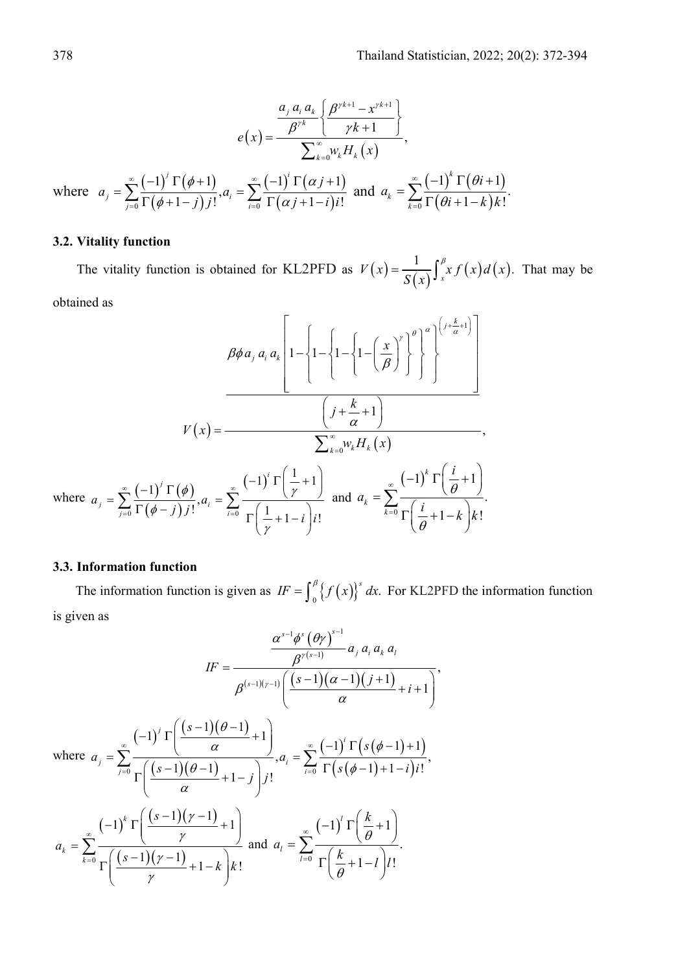$$
e(x) = \frac{\frac{a_j a_i a_k}{\beta^{\gamma k}} \left\{ \frac{\beta^{\gamma k+1} - x^{\gamma k+1}}{\gamma k+1} \right\}}{\sum_{k=0}^{\infty} w_k H_k(x)},
$$
  
where  $a_j = \sum_{j=0}^{\infty} \frac{(-1)^j \Gamma(\phi+1)}{\Gamma(\phi+1-j)j!}, a_i = \sum_{i=0}^{\infty} \frac{(-1)^i \Gamma(\alpha j+1)}{\Gamma(\alpha j+1-i)j!}$  and  $a_k = \sum_{k=0}^{\infty} \frac{(-1)^k \Gamma(\theta i+1)}{\Gamma(\theta i+1-k)k!}.$ 

# **3.2. Vitality function**

The vitality function is obtained for KL2PFD as  $V(x) = \frac{1}{S(x)} \int_{x}^{x} xf(x) d(x)$ . That may be

obtained as

$$
\beta \phi a_j a_i a_k \left[ 1 - \left\{ 1 - \left\{ 1 - \left\{ 1 - \left\{ \frac{x}{\beta} \right\}^{\gamma} \right\}^{\theta} \right\}^{\alpha} \right\}^{\left(\frac{1}{\alpha} + 1\right)} \right]
$$
\n
$$
V(x) = \frac{\left( j + \frac{k}{\alpha} + 1 \right)}{\sum_{k=0}^{\infty} w_k H_k(x)},
$$
\nwhere  $a_j = \sum_{j=0}^{\infty} \frac{(-1)^j \Gamma(\phi)}{\Gamma(\phi - j) j!}, a_i = \sum_{i=0}^{\infty} \frac{(-1)^i \Gamma\left(\frac{1}{\gamma} + 1\right)}{\Gamma\left(\frac{1}{\gamma} + 1 - i\right) i!}$  and  $a_k = \sum_{k=0}^{\infty} \frac{(-1)^k \Gamma\left(\frac{i}{\theta} + 1\right)}{\Gamma\left(\frac{i}{\theta} + 1 - k\right) k!}.$ 

# **3.3. Information function**

The information function is given as  $IF = \int_{0}^{\beta} \{f(x)\}^{s} dx$ . For KL2PFD the information function is given as

$$
IF = \frac{\frac{\alpha^{s-1}\phi^{s}(\theta\gamma)^{s-1}}{\beta^{(s-1)}(r-1)}a_{j}a_{i}a_{k}a_{l}}{\beta^{(s-1)}(r-1)(\frac{s-1}{\alpha})\left(\frac{s-1}{\alpha}\right)(j+1)} + i + 1}
$$
\nwhere  $a_{j} = \sum_{j=0}^{\infty} \frac{(-1)^{j} \Gamma\left(\frac{s-1}{\alpha} - 1\right)}{\Gamma\left(\frac{s-1}{\alpha} + 1 - j\right)}a_{i}a_{i} = \sum_{i=0}^{\infty} \frac{(-1)^{i} \Gamma\left(s(\phi-1) + 1\right)}{\Gamma\left(s(\phi-1) + 1 - i\right)i!},$ \n
$$
a_{k} = \sum_{k=0}^{\infty} \frac{(-1)^{k} \Gamma\left(\frac{s-1}{\gamma} + 1\right)}{\Gamma\left(\frac{s-1}{\gamma} + 1 - k\right)i} \text{ and } a_{i} = \sum_{i=0}^{\infty} \frac{(-1)^{i} \Gamma\left(\frac{k}{\theta} + 1\right)}{\Gamma\left(\frac{k}{\theta} + 1 - i\right)i!}.
$$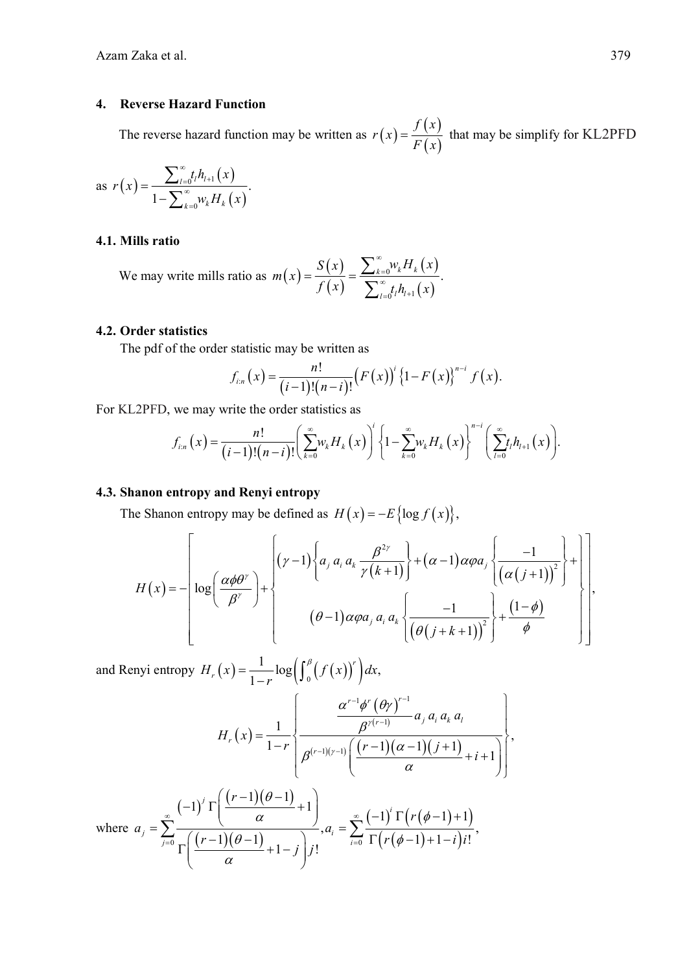# **4. Reverse Hazard Function**

The reverse hazard function may be written as  $r(x) = \frac{f(x)}{F(x)}$  $r(x) = \frac{f(x)}{F(x)}$  that may be simplify for KL2PFD

as 
$$
r(x) = \frac{\sum_{l=0}^{\infty} t_l h_{l+1}(x)}{1 - \sum_{k=0}^{\infty} w_k H_k(x)}
$$
.

# **4.1. Mills ratio**

We may write mills ratio as  $m(x) = \frac{S(x)}{f(x)}$  $(x)$  $(x)$  $\overline{0}$  $0^{l''q+1}$  $\frac{k=0^{k+1}k^{k+1}k^{k}}{k}$  $l = 0$ <sup> $l$ </sup>  $m(x) = \frac{S(x)}{f(x)} = \frac{\sum_{k=0}^{x} w_k H_k(x)}{\sum_{k=0}^{x} t_k h_{k+1}(x)}$  $^{\circ}$  $\frac{1}{\infty}$  $=0$ <sup>'</sup> $l'$ <sup>'</sup> $l$ <sup>+</sup>  $=\frac{S(x)}{S(x)}=\frac{\sum_{ } }$  $\sum$ 

#### **4.2. Order statistics**

The pdf of the order statistic may be written as

$$
f_{i:n}(x) = \frac{n!}{(i-1)!(n-i)!} (F(x))^{i} (1-F(x))^{n-i} f(x).
$$

For KL2PFD, we may write the order statistics as

$$
f_{i:n}(x) = \frac{n!}{(i-1)!(n-i)!} \left( \sum_{k=0}^{\infty} w_k H_k(x) \right)^i \left\{ 1 - \sum_{k=0}^{\infty} w_k H_k(x) \right\}^{n-i} \left( \sum_{l=0}^{\infty} t_l h_{l+1}(x) \right).
$$

#### **4.3. Shanon entropy and Renyi entropy**

The Shanon entropy may be defined as  $H(x) = -E\{\log f(x)\},\$ 

$$
H(x) = -\left[\log\left(\frac{\alpha\phi\theta^{\gamma}}{\beta^{\gamma}}\right) + \left\{\begin{array}{l}\left(\gamma-1\right)\left\{a_{j} a_{i} a_{k} \frac{\beta^{2\gamma}}{\gamma(k+1)}\right\} + \left(\alpha-1\right) \alpha \varphi a_{j} \left\{\frac{-1}{\left(\alpha(j+1)\right)^{2}}\right\} + \left\lfloor \alpha\right\rfloor\\ \left(\theta-1\right) \alpha \varphi a_{j} a_{i} a_{k} \left\{\frac{-1}{\left(\theta(j+k+1)\right)^{2}}\right\} + \frac{\left(1-\phi\right)}{\phi}\end{array}\right\}\right],
$$

and Renyi entropy  $H_r(x) = \frac{1}{1-r} \log \left( \int_0^p (f(x))^r \right) dx$ ,

$$
H_r(x) = \frac{1}{1-r} \left\{ \frac{\frac{\alpha^{r-1} \phi^r (\theta \gamma)^{r-1}}{\beta^{r(r-1)}} a_j a_i a_k a_l}{\beta^{(r-1)(r-1)} \left( \frac{(r-1)(\alpha-1)(j+1)}{\alpha} + i + 1 \right)} \right\},\,
$$

where 
$$
a_j = \sum_{j=0}^{\infty} \frac{(-1)^j \Gamma\left(\frac{(r-1)(\theta-1)}{\alpha} + 1\right)}{\Gamma\left(\frac{(r-1)(\theta-1)}{\alpha} + 1 - j\right)} a_i = \sum_{i=0}^{\infty} \frac{(-1)^i \Gamma\left(r(\phi-1) + 1\right)}{\Gamma\left(r(\phi-1) + 1 - j\right)i!},
$$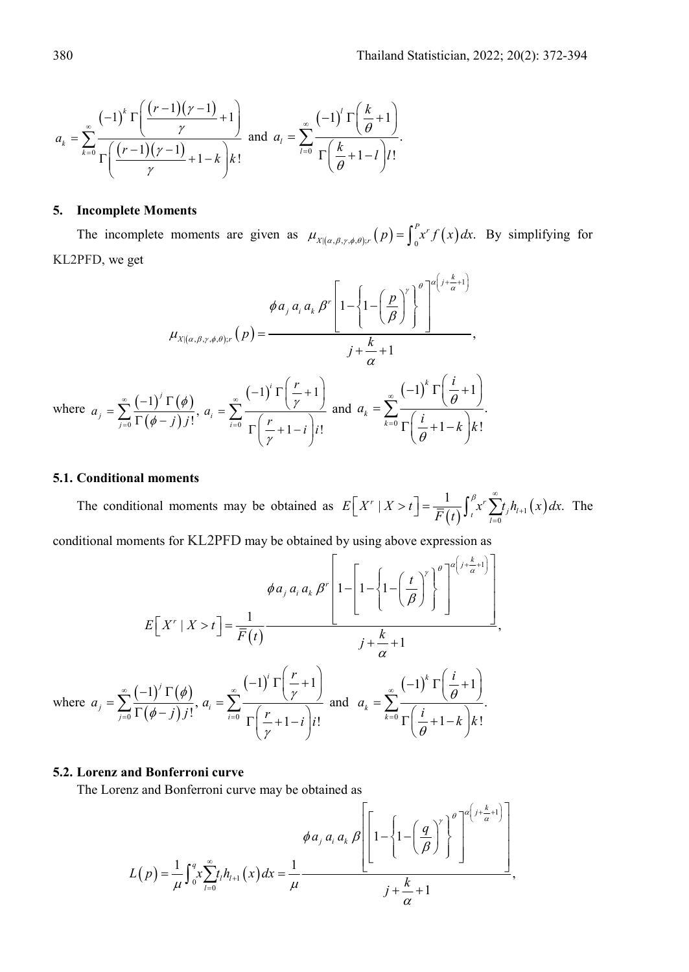$$
a_k = \sum_{k=0}^{\infty} \frac{(-1)^k \Gamma\left(\frac{(r-1)(\gamma-1)}{\gamma} + 1\right)}{\Gamma\left(\frac{(r-1)(\gamma-1)}{\gamma} + 1 - k\right)k!} \text{ and } a_l = \sum_{l=0}^{\infty} \frac{(-1)^l \Gamma\left(\frac{k}{\theta} + 1\right)}{\Gamma\left(\frac{k}{\theta} + 1 - l\right)l!}.
$$

### **5. Incomplete Moments**

The incomplete moments are given as  $\mu_{X|(\alpha,\beta,\gamma,\phi,\theta);r}(p) = \int_0^p x^r f(x) dx$ . By simplifying for KL2PFD, we get

$$
\phi a_j a_i a_k \beta^r \left[ 1 - \left\{ 1 - \left( \frac{p}{\beta} \right)^r \right\}^{\theta} \right]^{a \left( j + \frac{k}{\alpha} + 1 \right)} ,
$$
\n
$$
\mu_{X|(\alpha, \beta, \gamma, \phi, \theta);r} (p) = \frac{j + \frac{k}{\alpha} + 1}{j + \frac{k}{\alpha} + 1},
$$
\nwhere 
$$
a_j = \sum_{j=0}^{\infty} \frac{(-1)^j \Gamma(\phi)}{\Gamma(\phi - j) j!}, a_i = \sum_{i=0}^{\infty} \frac{(-1)^i \Gamma(\frac{r}{\gamma} + 1)}{\Gamma(\frac{r}{\gamma} + 1 - i) j!} \text{ and } a_k = \sum_{k=0}^{\infty} \frac{(-1)^k \Gamma(\frac{i}{\theta} + 1)}{\Gamma(\frac{i}{\theta} + 1 - k) k!}.
$$

#### **5.1. Conditional moments**

The conditional moments may be obtained as  $E[X^r | X > t] = \frac{1}{\overline{F}(t)} \int_t^{\beta} x^r \sum_{l=0}^{\infty} t_j h_{l+1}(x) dx$ .  $E[X^r \mid X > t] = \frac{1}{\overline{F}(t)} \int_t^t x^r \sum_{l=0}^t t_j h_{l+1}(x) dx$  $\beta$  .  $\stackrel{\infty}{\bullet}$  $\left[ X' | X > t \right] = \frac{1}{\overline{F}(t)} \int_{t}^{t} x^{r} \sum_{l=0}^{t} t_{l} h_{l+1}(x) dx$ . The

conditional moments for KL2PFD may be obtained by using above expression as

$$
\phi a_j a_i a_k \beta^r \left[ 1 - \left\{ 1 - \left\{ 1 - \left( \frac{t}{\beta} \right)^r \right\}^{\theta} \right\}^{\alpha \left( j + \frac{k}{\alpha} + 1 \right)} \right]
$$
\n
$$
E\left[ X^r \mid X > t \right] = \frac{1}{\overline{F}(t)} \frac{1}{\overline{F}(t)} \frac{1}{\overline{F}(t)} \frac{1}{\overline{F}(t)} \frac{1}{\overline{F}(t)} \frac{1}{\overline{F}(t)} \frac{1}{\overline{F}(t)} \frac{1}{\overline{F}(t)} \frac{1}{\overline{F}(t)} \frac{1}{\overline{F}(t)} \frac{1}{\overline{F}(t)} \frac{1}{\overline{F}(t)} \frac{1}{\overline{F}(t)} \frac{1}{\overline{F}(t)} \frac{1}{\overline{F}(t)} \frac{1}{\overline{F}(t)} \frac{1}{\overline{F}(t)} \frac{1}{\overline{F}(t)} \frac{1}{\overline{F}(t)} \frac{1}{\overline{F}(t)} \frac{1}{\overline{F}(t)} \frac{1}{\overline{F}(t)} \frac{1}{\overline{F}(t)} \frac{1}{\overline{F}(t)} \frac{1}{\overline{F}(t)} \frac{1}{\overline{F}(t)} \frac{1}{\overline{F}(t)} \frac{1}{\overline{F}(t)} \frac{1}{\overline{F}(t)} \frac{1}{\overline{F}(t)} \frac{1}{\overline{F}(t)} \frac{1}{\overline{F}(t)} \frac{1}{\overline{F}(t)} \frac{1}{\overline{F}(t)} \frac{1}{\overline{F}(t)} \frac{1}{\overline{F}(t)} \frac{1}{\overline{F}(t)} \frac{1}{\overline{F}(t)} \frac{1}{\overline{F}(t)} \frac{1}{\overline{F}(t)} \frac{1}{\overline{F}(t)} \frac{1}{\overline{F}(t)} \frac{1}{\overline{F}(t)} \frac{1}{\overline{F}(t)} \frac{1}{\overline{F}(t)} \frac{1}{\overline{F}(t)} \frac{1}{\overline{F}(t)} \frac{1}{\overline{F}(t)} \frac{1}{\overline{F}(t)} \frac{1}{\overline{F}(t)} \frac
$$

#### **5.2. Lorenz and Bonferroni curve**

The Lorenz and Bonferroni curve may be obtained as

$$
\phi a_j a_i a_k \beta \left[1 - \left\{1 - \left(\frac{q}{\beta}\right)^{r}\right\}^{\theta} \right]^{a\left(j + \frac{k}{\alpha} + 1\right)}.
$$
  

$$
L(p) = \frac{1}{\mu} \int_0^q x \sum_{l=0}^\infty t_l h_{l+1}(x) dx = \frac{1}{\mu} \frac{1}{\left(\frac{q}{\alpha} + \frac{1}{\alpha}\right)^{r+1}} \frac{1}{\theta} + \frac{k}{\alpha} + 1,
$$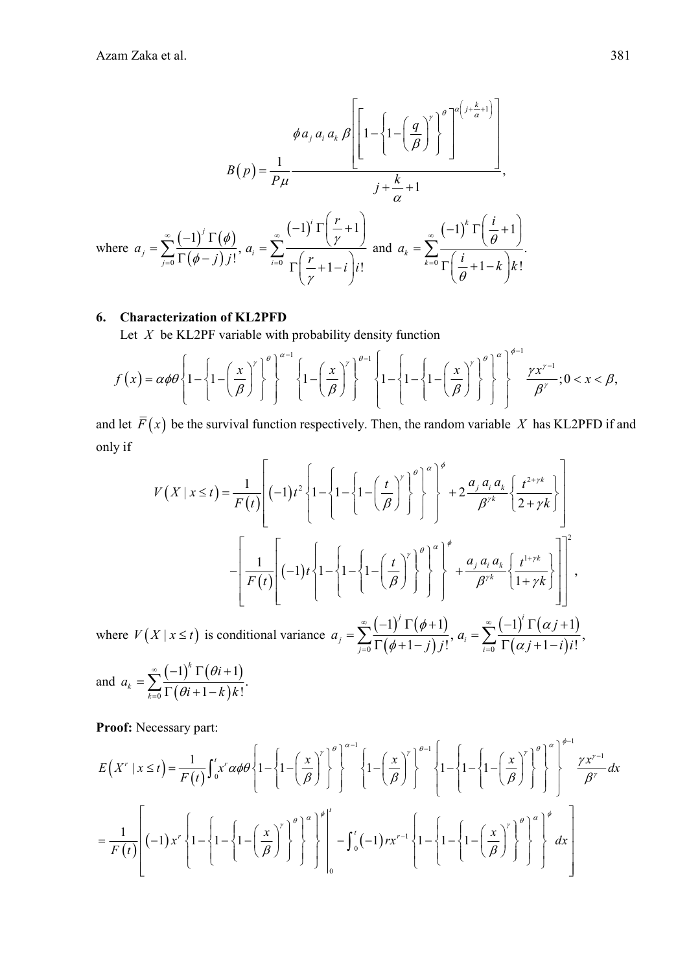$$
\phi a_j a_i a_k \beta \left[ \left[ 1 - \left\{ 1 - \left( \frac{q}{\beta} \right)^{\gamma} \right\}^{\theta} \right]^{a \left( j + \frac{k}{\alpha} + 1 \right)} \right]
$$
\n
$$
B(p) = \frac{1}{p\mu} \frac{1}{\left( j + \frac{k}{\alpha} + 1 \right)}
$$
\nwhere  $a_j = \sum_{j=0}^{\infty} \frac{(-1)^j \Gamma(\phi)}{\Gamma(\phi - j) j!}$ ,  $a_i = \sum_{i=0}^{\infty} \frac{(-1)^i \Gamma(\frac{r}{\gamma} + 1)}{\Gamma(\frac{r}{\gamma} + 1 - i) j!}$  and  $a_k = \sum_{k=0}^{\infty} \frac{(-1)^k \Gamma(\frac{i}{\theta} + 1)}{\Gamma(\frac{i}{\theta} + 1 - k) k!}$ .

#### **6. Characterization of KL2PFD**

Let *X* be KL2PF variable with probability density function

$$
f(x) = \alpha \phi \theta \left\{ 1 - \left\{ 1 - \left( \frac{x}{\beta} \right)^{r} \right\}^{\theta} \right\}^{\alpha-1} \left\{ 1 - \left( \frac{x}{\beta} \right)^{r} \right\}^{\theta-1} \left\{ 1 - \left\{ 1 - \left( \frac{x}{\beta} \right)^{r} \right\}^{\theta} \right\}^{\alpha} \right\}^{\phi-1} \frac{\gamma x^{r-1}}{\beta^{r}}; 0 < x < \beta,
$$

and let  $\overline{F}(x)$  be the survival function respectively. Then, the random variable *X* has KL2PFD if and only if

$$
V(X \mid x \leq t) = \frac{1}{F(t)} \left[ (-1)t^2 \left\{ 1 - \left\{ 1 - \left( \frac{t}{\beta} \right)^r \right\}^{\theta} \right\}^{\alpha} \right]^{\phi} + 2 \frac{a_j a_i a_k}{\beta^{rk}} \left\{ \frac{t^{2+\gamma k}}{2 + \gamma k} \right\} \right]
$$

$$
- \left[ \frac{1}{F(t)} \left[ (-1)t \left\{ 1 - \left\{ 1 - \left( \frac{t}{\beta} \right)^r \right\}^{\theta} \right\}^{\alpha} \right]^{\phi} + \frac{a_j a_i a_k}{\beta^{rk}} \left\{ \frac{t^{1+\gamma k}}{1+\gamma k} \right\} \right]^2,
$$

$$
\int_{0}^{\infty} \left( \frac{1}{\gamma} \right)^r \left[ \left( \frac{t}{\beta} \right)^r \right]^{\gamma} \left\{ \frac{t^{1+\gamma k}}{\beta^{rk}} \right\}^{\alpha} \left[ \frac{t^{1+\gamma k}}{1+\gamma k} \right]^{\gamma} \left\{ \frac{t^{1+\gamma k}}{1+\gamma k} \right\}^{\alpha} \right]^{\gamma}.
$$

where  $V(X | x \le t)$  is conditional variance  $a_j = \sum_{j=0}^{\infty} \frac{(-1)^j \Gamma(\phi + 1)}{\Gamma(\phi + 1 - j) j!}$  $(-1) \Gamma(\alpha j+1)$  $\sum_{i=0}^n \frac{(-1)^i\,\Gamma\big(\phi\!+\!1\big)}{\Gamma\big(\phi\!+\!1\!-\!j\big)j\,!},\, a_i=\sum_{i=0}^\infty \frac{(-1)^i\,\Gamma\big(\alpha\,j\!+\!1\big)}{\Gamma\big(\alpha\,j\!+\!1\!-\!i\big) i\,!},$  $j = \sum_{j=0}^{j} \Gamma(\phi + 1 - j) j!$ <sup>,  $a_i = a_i$ </sup>  $a_i = \sum_{i=1}^{\infty} \frac{(-1)^i \Gamma(\phi + 1)}{\Gamma(\phi + 1)}, a_i = \sum_{i=1}^{\infty} \frac{(-1)^i \Gamma(\alpha)}{\Gamma(\alpha + 1)}$ *j* ) *j* !  $\sum_{i=0}^{i} \Gamma(\alpha j + 1 - i)i$  $\phi$ +1)  $\sum_{r=1}^{\infty}$  (-1)  $\Gamma(\alpha)$  $\phi+1-j$  )  $j!$   $\qquad \qquad i=0$   $\Gamma(\alpha)$  $\infty$  (-1)'  $\Gamma$ ( $\phi$ +1)  $\infty$  $=\sum_{j=0}^\infty\frac{(-1)^j\ \Gamma(\phi\!+\!1)}{\Gamma\big(\phi\!+\!1\!-\!j\big)j!},\, a_i=\sum_{i=0}^\infty\frac{(-1)^i\ \Gamma\big(\alpha\;\!j\!+\!1\!-\!i\big)}{\Gamma\big(\alpha\;\!j\!+\!1\!-\!i\big)}$ 

and 
$$
a_k = \sum_{k=0}^{\infty} \frac{(-1)^k \Gamma(\theta i + 1)}{\Gamma(\theta i + 1 - k)k!}
$$
.

**Proof:** Necessary part:

$$
E(X^r \mid x \le t) = \frac{1}{F(t)} \int_0^t x^r \alpha \phi \theta \left\{ 1 - \left\{ 1 - \left( \frac{x}{\beta} \right)^r \right\}^{\theta} \right\}^{\alpha - 1} \left\{ 1 - \left( \frac{x}{\beta} \right)^r \right\}^{\theta - 1} \left\{ 1 - \left\{ 1 - \left( \frac{x}{\beta} \right)^r \right\}^{\theta} \right\}^{\alpha - 1} \left\{ 1 - \left\{ 1 - \left( \frac{x}{\beta} \right)^r \right\}^{\theta} \right\}^{\alpha - 1} \left\{ 1 - \left\{ 1 - \left( \frac{x}{\beta} \right)^r \right\}^{\theta} \right\}^{\alpha - 1} \left\{ 1 - \left\{ 1 - \left( \frac{x}{\beta} \right)^r \right\}^{\theta} \right\}^{\alpha - 1} \left\{ 1 - \left\{ 1 - \left( \frac{x}{\beta} \right)^r \right\}^{\theta} \right\}^{\alpha - 1} \left\{ 1 - \left\{ 1 - \left( \frac{x}{\beta} \right)^r \right\}^{\theta} \right\}^{\alpha - 1} \left\{ 1 - \left\{ 1 - \left( \frac{x}{\beta} \right)^r \right\}^{\theta} \right\}^{\alpha - 1} \left\{ 1 - \left\{ 1 - \left( \frac{x}{\beta} \right)^r \right\}^{\theta} \right\}^{\alpha - 1} \left\{ 1 - \left\{ 1 - \left( \frac{x}{\beta} \right)^r \right\}^{\theta} \right\}^{\alpha - 1} \left\{ 1 - \left\{ 1 - \left( \frac{x}{\beta} \right)^r \right\}^{\theta} \right\}^{\alpha - 1} \left\{ 1 - \left\{ 1 - \left( \frac{x}{\beta} \right)^r \right\}^{\theta} \left\}^{\alpha - 1} \left\{ 1 - \left\{ 1 - \left( \frac{x}{\beta} \right)^r \right\}^{\theta} \right\}^{\alpha - 1} \left\{ 1 - \left\{ 1 - \left( \frac{x}{\beta} \right)^r \right\}^{\theta} \left\{ 1 - \left\{ 1 - \left( \frac{x}{\beta} \right)^r \right\}^{\theta} \right\}^{\alpha -
$$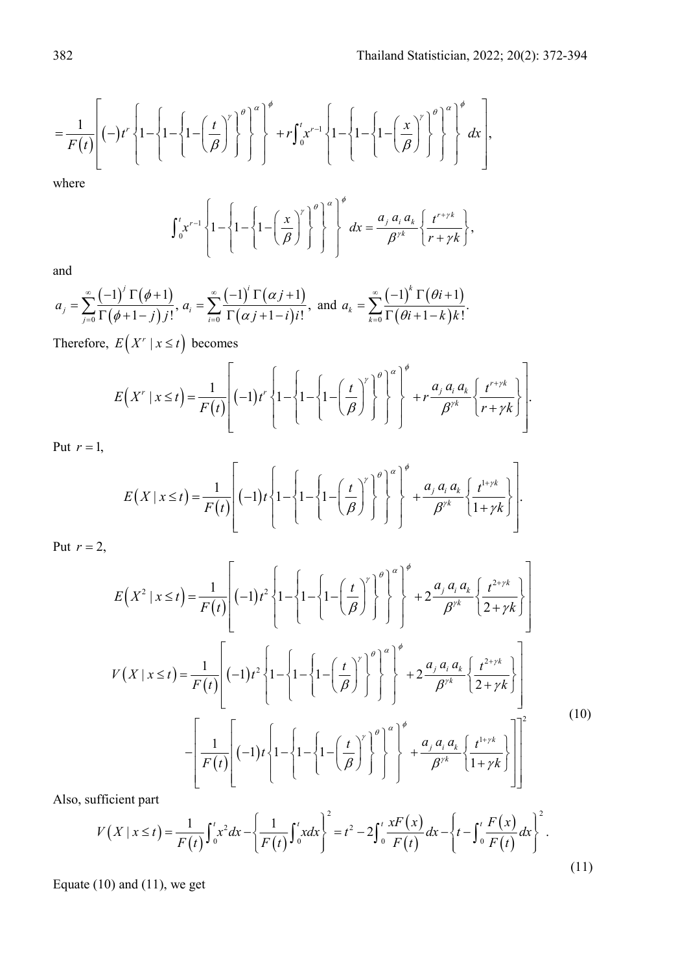$$
=\frac{1}{F(t)}\left[\left(-\right)t^r\left\{1-\left\{1-\left(\frac{t}{\beta}\right)^r\right\}^{\theta}\right\}^{\alpha}\right]^{\phi}+rf_{0}^{t}x^{r-1}\left\{1-\left\{1-\left(\frac{x}{\beta}\right)^r\right\}^{\theta}\right\}^{\alpha}\right]^{\phi}dx\right],
$$

where

$$
\int_0^t x^{r-1} \left\{ 1 - \left\{ 1 - \left( \frac{x}{\beta} \right)^r \right\}^\beta \right\}^\beta \left\}^\alpha dx = \frac{a_j \, a_i \, a_k}{\beta^{\gamma k}} \left\{ \frac{t^{r+\gamma k}}{r+\gamma k} \right\},
$$

and

$$
a_j=\sum_{j=0}^{\infty}\frac{(-1)^j\,\Gamma(\phi+1)}{\Gamma(\phi+1-j)\,j!},\,a_i=\sum_{i=0}^{\infty}\frac{(-1)^i\,\Gamma(\alpha\,j+1)}{\Gamma(\alpha\,j+1-i)\,i!},\,\,\text{and}\,\,a_k=\sum_{k=0}^{\infty}\frac{(-1)^k\,\Gamma(\theta i+1)}{\Gamma(\theta i+1-k)\,k!}.
$$

Therefore,  $E(X^r | x \le t)$  becomes

$$
E(X^r \mid x \leq t) = \frac{1}{F(t)} \left[ (-1)t^r \left\{ 1 - \left\{ 1 - \left\{ 1 - \left( \frac{t}{\beta} \right)^r \right\}^{\theta} \right\}^{\alpha} \right\}^{\phi} + r \frac{a_j a_i a_k}{\beta^{rk}} \left\{ \frac{t^{r + \gamma k}}{r + \gamma k} \right\} \right].
$$

Put  $r = 1$ ,

$$
E(X \mid x \leq t) = \frac{1}{F(t)} \left[ (-1)t \left\{ 1 - \left\{ 1 - \left( \frac{t}{\beta} \right)^{t} \right\}^{\theta} \right\}^{\theta} + \frac{a_j a_i a_k}{\beta^{t}} \left\{ \frac{t^{1 + \gamma k}}{1 + \gamma k} \right\} \right].
$$

Put  $r = 2$ ,

$$
E(X^2 | x \le t) = \frac{1}{F(t)} \left[ (-1)t^2 \left\{ 1 - \left\{ 1 - \left( \frac{t}{\beta} \right)^r \right\}^{\theta} \right\}^{\alpha} \right]^{\phi} + 2 \frac{a_j a_i a_k}{\beta^{rk}} \left\{ \frac{t^{2+\gamma k}}{2 + \gamma k} \right\}
$$

$$
V(X | x \le t) = \frac{1}{F(t)} \left[ (-1)t^2 \left\{ 1 - \left\{ 1 - \left( \frac{t}{\beta} \right)^r \right\}^{\theta} \right\}^{\alpha} \right]^{\phi} + 2 \frac{a_j a_i a_k}{\beta^{rk}} \left\{ \frac{t^{2+\gamma k}}{2 + \gamma k} \right\}
$$

$$
- \left[ \frac{1}{F(t)} \left[ (-1)t \left\{ 1 - \left\{ 1 - \left( \frac{t}{\beta} \right)^r \right\}^{\theta} \right\}^{\alpha} \right]^{\phi} + \frac{a_j a_i a_k}{\beta^{rk}} \left\{ \frac{t^{1+\gamma k}}{2 + \gamma k} \right\} \right]
$$

$$
(10)
$$

Also, sufficient part

$$
V(X \mid x \le t) = \frac{1}{F(t)} \int_0^t x^2 dx - \left\{ \frac{1}{F(t)} \int_0^t x dx \right\}^2 = t^2 - 2 \int_0^t \frac{x F(x)}{F(t)} dx - \left\{ t - \int_0^t \frac{F(x)}{F(t)} dx \right\}^2.
$$
\n(11)

Equate (10) and (11), we get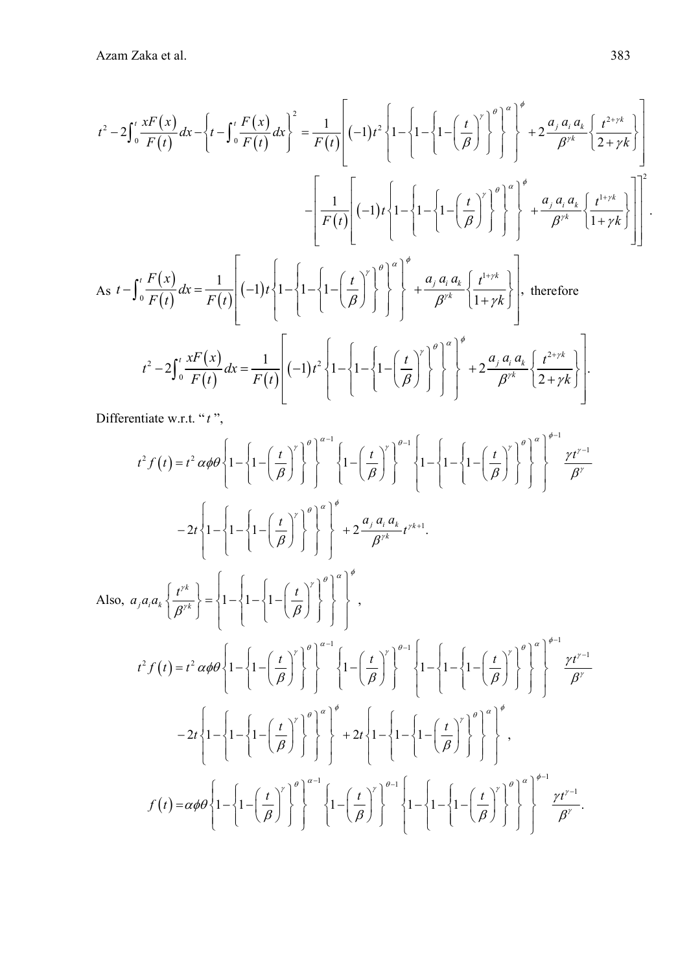$$
t^2 - 2\int_0^t \frac{xF(x)}{F(t)} dx - \left\{ t - \int_0^t \frac{F(x)}{F(t)} dx \right\}^2 = \frac{1}{F(t)} \left[ (-1)t^2 \left\{ 1 - \left\{ 1 - \left( \frac{t}{\beta} \right)^r \right\}^{\theta} \right\}^{\theta} \right] + 2 \frac{a_j a_i a_k}{\beta^{rk}} \left\{ \frac{t^{2+\gamma k}}{2 + \gamma k} \right\} \right]
$$

$$
- \left[ \frac{1}{F(t)} \left[ (-1)t \left\{ 1 - \left\{ 1 - \left( \frac{t}{\beta} \right)^r \right\}^{\theta} \right\}^{\theta} \right] + \frac{a_j a_i a_k}{\beta^{rk}} \left\{ \frac{t^{1+\gamma k}}{1 + \gamma k} \right\} \right]
$$

$$
As \ t - \int_0^t \frac{F(x)}{F(t)} dx = \frac{1}{F(t)} \left[ (-1)t \left\{ 1 - \left\{ 1 - \left( \frac{t}{\beta} \right)^r \right\}^{\theta} \right\}^{\theta} + \frac{a_j a_i a_k}{\beta^{rk}} \left\{ \frac{t^{1+\gamma k}}{1 + \gamma k} \right\} \right].
$$
therefore
$$
t^2 - 2 \int_0^t \frac{xF(x)}{F(t)} dx = \frac{1}{F(t)} \left[ (-1)t^2 \left\{ 1 - \left\{ 1 - \left( \frac{t}{\beta} \right)^r \right\}^{\theta} \right\}^{\theta} + 2 \frac{a_j a_i a_k}{\beta^{rk}} \left\{ \frac{t^{1+\gamma k}}{1 + \gamma k} \right\} \right].
$$

Differentiate w.r.t. "t",

$$
t^{2} f(t) = t^{2} \alpha \phi \theta \left\{ 1 - \left\{ 1 - \left( \frac{t}{\beta} \right)^{r} \right\}^{\theta} \right\}^{\alpha-1} \left\{ 1 - \left( \frac{t}{\beta} \right)^{r} \right\}^{\theta-1} \left\{ 1 - \left\{ 1 - \left( \frac{t}{\beta} \right)^{r} \right\}^{\theta} \right\}^{\theta-1} \right\}^{\beta-1}
$$

$$
-2t \left\{ 1 - \left\{ 1 - \left( \frac{t}{\beta} \right)^{r} \right\}^{\theta} \right\}^{\theta} + 2 \frac{\alpha_{j} \alpha_{i} \alpha_{k}}{\beta^{r^{k}}} t^{r^{k+1}}.
$$
Also,  $\alpha_{j} \alpha_{i} \alpha_{k} \left\{ \frac{t^{r^{k}}}{\beta^{r^{k}}} \right\} = \left\{ 1 - \left\{ 1 - \left( \frac{t}{\beta} \right)^{r} \right\}^{\theta} \right\}^{\theta} \right\}^{\theta},$ 
$$
t^{2} f(t) = t^{2} \alpha \phi \theta \left\{ 1 - \left\{ 1 - \left( \frac{t}{\beta} \right)^{r} \right\}^{\theta} \right\}^{\theta-1} \left\{ 1 - \left( \frac{t}{\beta} \right)^{r} \right\}^{\theta-1} \left\{ 1 - \left( \frac{t}{\beta} \right)^{r} \right\}^{\theta-1} \left\{ 1 - \left( \frac{t}{\beta} \right)^{r} \right\}^{\theta-1} \right\}^{\theta-1}
$$

$$
-2t \left\{ 1 - \left\{ 1 - \left( \frac{t}{\beta} \right)^{r} \right\}^{\theta} \right\}^{\theta-1} + 2t \left\{ 1 - \left( \frac{t}{\beta} \right)^{r} \right\}^{\theta-1} \left\{ 1 - \left( \frac{t}{\beta} \right)^{r} \right\}^{\theta} \right\}^{\theta}
$$

$$
-2t \left\{ 1 - \left\{ 1 - \left( \frac{t}{\beta} \right)^{r} \right\}^{\theta} \right\}^{\theta} + 2t \left\{ 1 - \left\{ 1 - \left( \frac
$$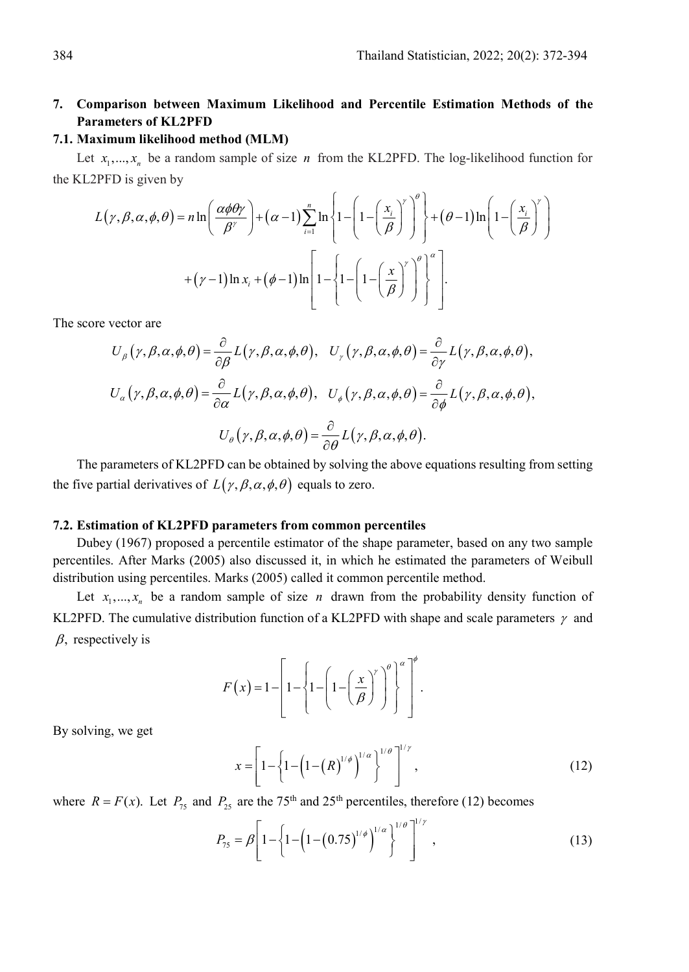# **7. Comparison between Maximum Likelihood and Percentile Estimation Methods of the Parameters of KL2PFD**

#### **7.1. Maximum likelihood method (MLM)**

Let  $x_1, \ldots, x_n$  be a random sample of size *n* from the KL2PFD. The log-likelihood function for the KL2PFD is given by

$$
L(\gamma, \beta, \alpha, \phi, \theta) = n \ln \left( \frac{\alpha \phi \theta \gamma}{\beta^{\gamma}} \right) + (\alpha - 1) \sum_{i=1}^{n} \ln \left\{ 1 - \left( 1 - \left( \frac{x_i}{\beta} \right)^{\gamma} \right)^{\theta} \right\} + (\theta - 1) \ln \left( 1 - \left( \frac{x_i}{\beta} \right)^{\gamma} \right)
$$

$$
+ (\gamma - 1) \ln x_i + (\phi - 1) \ln \left[ 1 - \left\{ 1 - \left( 1 - \left( \frac{x}{\beta} \right)^{\gamma} \right)^{\theta} \right\}^{\alpha} \right].
$$

The score vector are

$$
U_{\beta}(\gamma, \beta, \alpha, \phi, \theta) = \frac{\partial}{\partial \beta} L(\gamma, \beta, \alpha, \phi, \theta), \quad U_{\gamma}(\gamma, \beta, \alpha, \phi, \theta) = \frac{\partial}{\partial \gamma} L(\gamma, \beta, \alpha, \phi, \theta),
$$

$$
U_{\alpha}(\gamma, \beta, \alpha, \phi, \theta) = \frac{\partial}{\partial \alpha} L(\gamma, \beta, \alpha, \phi, \theta), \quad U_{\phi}(\gamma, \beta, \alpha, \phi, \theta) = \frac{\partial}{\partial \phi} L(\gamma, \beta, \alpha, \phi, \theta),
$$

$$
U_{\theta}(\gamma, \beta, \alpha, \phi, \theta) = \frac{\partial}{\partial \theta} L(\gamma, \beta, \alpha, \phi, \theta).
$$

The parameters of KL2PFD can be obtained by solving the above equations resulting from setting the five partial derivatives of  $L(\gamma, \beta, \alpha, \phi, \theta)$  equals to zero.

#### **7.2. Estimation of KL2PFD parameters from common percentiles**

Dubey (1967) proposed a percentile estimator of the shape parameter, based on any two sample percentiles. After Marks (2005) also discussed it, in which he estimated the parameters of Weibull distribution using percentiles. Marks (2005) called it common percentile method.

Let  $x_1, \ldots, x_n$  be a random sample of size *n* drawn from the probability density function of KL2PFD. The cumulative distribution function of a KL2PFD with shape and scale parameters  $\gamma$  and  $\beta$ , respectively is

$$
F(x) = 1 - \left[1 - \left\{1 - \left(1 - \left(\frac{x}{\beta}\right)^{r}\right)^{\theta}\right\}^{r}\right]^{\phi}.
$$

By solving, we get

$$
x = \left[1 - \left\{1 - \left(1 - \left(R\right)^{1/\phi}\right)^{1/\alpha}\right\}^{1/\theta}\right]^{1/\gamma},\tag{12}
$$

where  $R = F(x)$ . Let  $P_{75}$  and  $P_{25}$  are the 75<sup>th</sup> and 25<sup>th</sup> percentiles, therefore (12) becomes

$$
P_{75} = \beta \left[ 1 - \left\{ 1 - \left( 1 - \left( 0.75 \right)^{1/\phi} \right)^{1/\alpha} \right\}^{1/\theta} \right]^{1/\gamma}, \tag{13}
$$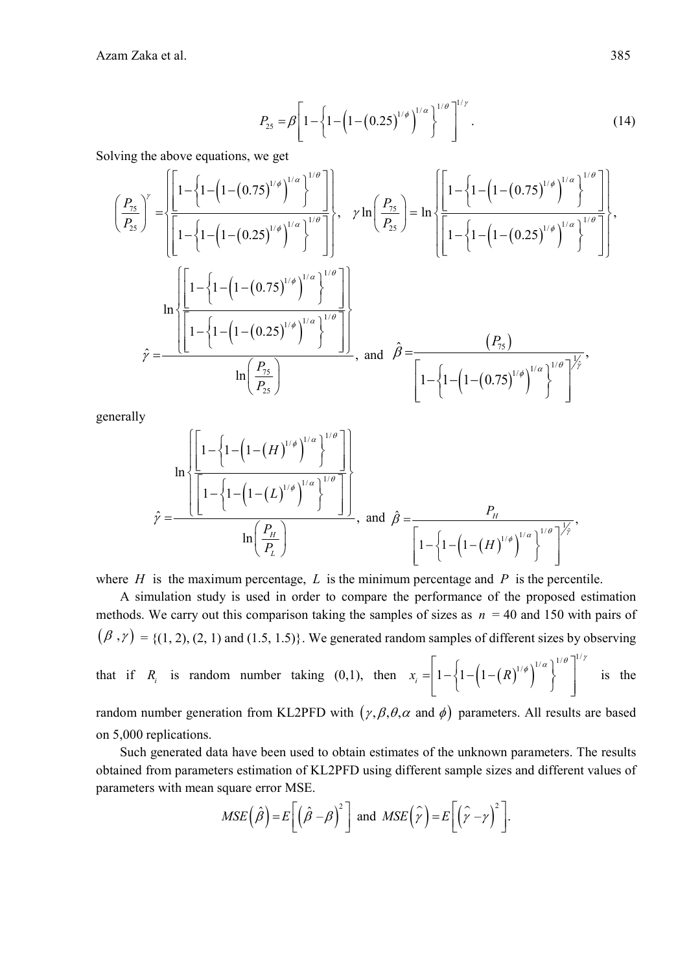Azam Zaka et al. 385

$$
P_{25} = \beta \left[ 1 - \left\{ 1 - \left( 1 - \left( 0.25 \right)^{1/\phi} \right)^{1/\alpha} \right\}^{1/\rho} \right]^{1/\gamma} . \tag{14}
$$

Solving the above equations, we get

$$
\left(\frac{P_{75}}{P_{25}}\right)^{\gamma} = \left\{\frac{\left[1-\left(1-\left(1-\left(0.75\right)^{1/\phi}\right)^{1/\alpha}\right]^{1/\theta}}{\left[1-\left\{1-\left(1-\left(0.25\right)^{1/\phi}\right)^{1/\alpha}\right\}^{1/\theta}}\right]\right\}, \quad \gamma \ln\left(\frac{P_{75}}{P_{25}}\right) = \ln\left\{\frac{\left[1-\left\{1-\left(1-\left(0.75\right)^{1/\phi}\right)^{1/\alpha}\right\}^{1/\theta}}{\left[1-\left\{1-\left(1-\left(0.25\right)^{1/\phi}\right)^{1/\alpha}\right\}^{1/\theta}}\right]\right\},\right\}
$$
\n
$$
\hat{\gamma} = \frac{\left[\frac{\left[1-\left\{1-\left(1-\left(0.75\right)^{1/\phi}\right)^{1/\alpha}\right\}^{1/\theta}}{\left[1-\left\{1-\left(1-\left(0.25\right)^{1/\phi}\right)^{1/\alpha}\right\}^{1/\theta}}\right]\right]}{\ln\left(\frac{P_{75}}{P_{25}}\right)}\right], \text{ and } \hat{\beta} = \frac{\left(P_{75}\right)}{\left[1-\left\{1-\left(1-\left(0.75\right)^{1/\phi}\right)^{1/\alpha}\right\}^{1/\theta}}\right\}^{1/\theta}}\right\}^{\gamma}
$$

generally

$$
\hat{\gamma} = \frac{\left[1 - \left\{1 - \left(1 - \left(H\right)^{1/\phi}\right)^{1/\alpha}\right\}^{1/\theta}\right]}{\left[1 - \left\{1 - \left(1 - \left(L\right)^{1/\phi}\right)^{1/\alpha}\right\}^{1/\theta}\right]}
$$
\n
$$
\hat{\gamma} = \frac{P_H}{\left[1 - \left\{1 - \left(1 - \left(H\right)^{1/\phi}\right)^{1/\alpha}\right\}^{1/\theta}\right]^{\frac{1}{\gamma}}}
$$
\nand\n
$$
\hat{\beta} = \frac{P_H}{\left[1 - \left\{1 - \left(1 - \left(H\right)^{1/\phi}\right)^{1/\alpha}\right\}^{1/\theta}\right]^{\frac{1}{\gamma}}}
$$

where  $H$  is the maximum percentage,  $L$  is the minimum percentage and  $P$  is the percentile.

A simulation study is used in order to compare the performance of the proposed estimation methods. We carry out this comparison taking the samples of sizes as  $n = 40$  and 150 with pairs of  $(\beta, \gamma) = \{(1, 2), (2, 1) \text{ and } (1.5, 1.5)\}.$  We generated random samples of different sizes by observing that if *R<sub>i</sub>* is random number taking (0,1), then  $x_i = \left[1 - \left(1 - \left(R\right)^{1/\phi}\right)^{1/\alpha}\right]^{1/\theta}$ is the random number generation from KL2PFD with  $(\gamma, \beta, \theta, \alpha \text{ and } \phi)$  parameters. All results are based

on 5,000 replications.

Such generated data have been used to obtain estimates of the unknown parameters. The results obtained from parameters estimation of KL2PFD using different sample sizes and different values of parameters with mean square error MSE.

$$
MSE\left(\hat{\beta}\right) = E\left[\left(\hat{\beta} - \beta\right)^2\right] \text{ and } MSE\left(\hat{\gamma}\right) = E\left[\left(\hat{\gamma} - \gamma\right)^2\right].
$$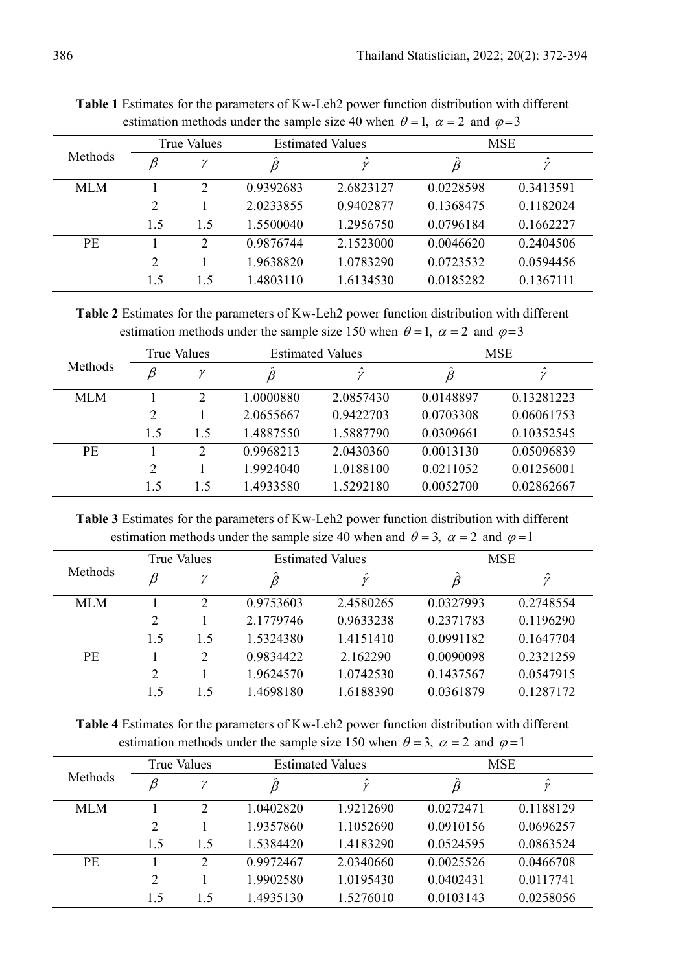|           |     | <b>True Values</b> |           | <b>Estimated Values</b> |           | <b>MSE</b> |
|-----------|-----|--------------------|-----------|-------------------------|-----------|------------|
| Methods   | β   | ν                  |           | $\hat{\nu}$             |           | $\gamma$   |
| MLM       |     | 2                  | 0.9392683 | 2.6823127               | 0.0228598 | 0.3413591  |
|           | 2   |                    | 2.0233855 | 0.9402877               | 0.1368475 | 0.1182024  |
|           | 1.5 | 1.5                | 1.5500040 | 1.2956750               | 0.0796184 | 0.1662227  |
| <b>PE</b> |     | $\mathcal{D}$      | 0.9876744 | 2.1523000               | 0.0046620 | 0.2404506  |
|           | 2   |                    | 1.9638820 | 1.0783290               | 0.0723532 | 0.0594456  |
|           | 1.5 | 15                 | 1.4803110 | 1.6134530               | 0.0185282 | 0.1367111  |

**Table 1** Estimates for the parameters of Kw-Leh2 power function distribution with different estimation methods under the sample size 40 when  $\theta = 1$ ,  $\alpha = 2$  and  $\varphi = 3$ 

**Table 2** Estimates for the parameters of Kw-Leh2 power function distribution with different estimation methods under the sample size 150 when  $\theta = 1$ ,  $\alpha = 2$  and  $\varphi = 3$ 

|         |                | True Values    |                           | <b>Estimated Values</b> |           | <b>MSE</b> |  |
|---------|----------------|----------------|---------------------------|-------------------------|-----------|------------|--|
| Methods | B              | $\gamma$       | $\ddot{\phantom{0}}$<br>β | $\lambda$<br>ν          |           | $\sim$     |  |
| MLM     |                | $\overline{2}$ | 1.0000880                 | 2.0857430               | 0.0148897 | 0.13281223 |  |
|         | $\overline{2}$ |                | 2.0655667                 | 0.9422703               | 0.0703308 | 0.06061753 |  |
|         | 1.5            | 1.5            | 1.4887550                 | 1.5887790               | 0.0309661 | 0.10352545 |  |
| PE      |                | $\overline{2}$ | 0.9968213                 | 2.0430360               | 0.0013130 | 0.05096839 |  |
|         | 2              |                | 1.9924040                 | 1.0188100               | 0.0211052 | 0.01256001 |  |
|         | 1.5            | 1.5            | 1.4933580                 | 1.5292180               | 0.0052700 | 0.02862667 |  |

**Table 3** Estimates for the parameters of Kw-Leh2 power function distribution with different estimation methods under the sample size 40 when and  $\theta = 3$ ,  $\alpha = 2$  and  $\varphi = 1$ 

|                |                | True Values    |           | <b>Estimated Values</b> |           | <b>MSE</b> |  |
|----------------|----------------|----------------|-----------|-------------------------|-----------|------------|--|
| <b>Methods</b> | β              | $\mathcal V$   |           | $\sim$                  |           | $\sim$     |  |
| MLM            |                | $\mathfrak{D}$ | 0.9753603 | 2.4580265               | 0.0327993 | 0.2748554  |  |
|                | $\overline{2}$ |                | 2.1779746 | 0.9633238               | 0.2371783 | 0.1196290  |  |
|                | 1.5            | 1.5            | 1.5324380 | 1.4151410               | 0.0991182 | 0.1647704  |  |
| <b>PE</b>      |                | $\overline{2}$ | 0.9834422 | 2.162290                | 0.0090098 | 0.2321259  |  |
|                | $\overline{2}$ |                | 1.9624570 | 1.0742530               | 0.1437567 | 0.0547915  |  |
|                | 1.5            | 15             | 1.4698180 | 1.6188390               | 0.0361879 | 0.1287172  |  |

**Table 4** Estimates for the parameters of Kw-Leh2 power function distribution with different estimation methods under the sample size 150 when  $\theta = 3$ ,  $\alpha = 2$  and  $\varphi = 1$ 

|                |                | <b>True Values</b> |           | <b>Estimated Values</b> |           | <b>MSE</b>  |  |
|----------------|----------------|--------------------|-----------|-------------------------|-----------|-------------|--|
| <b>Methods</b> | β              | $\mathcal V$       |           | $\hat{\nu}$             | β         | $\hat{\nu}$ |  |
| MLM            |                | 2                  | 1.0402820 | 1.9212690               | 0.0272471 | 0.1188129   |  |
|                | $\overline{2}$ |                    | 1.9357860 | 1.1052690               | 0.0910156 | 0.0696257   |  |
|                | 1.5            | 1.5                | 1.5384420 | 1.4183290               | 0.0524595 | 0.0863524   |  |
| <b>PE</b>      |                | $\mathcal{D}$      | 0.9972467 | 2.0340660               | 0.0025526 | 0.0466708   |  |
|                | $\overline{2}$ |                    | 1.9902580 | 1.0195430               | 0.0402431 | 0.0117741   |  |
|                | 1.5            | 15                 | 1.4935130 | 1.5276010               | 0.0103143 | 0.0258056   |  |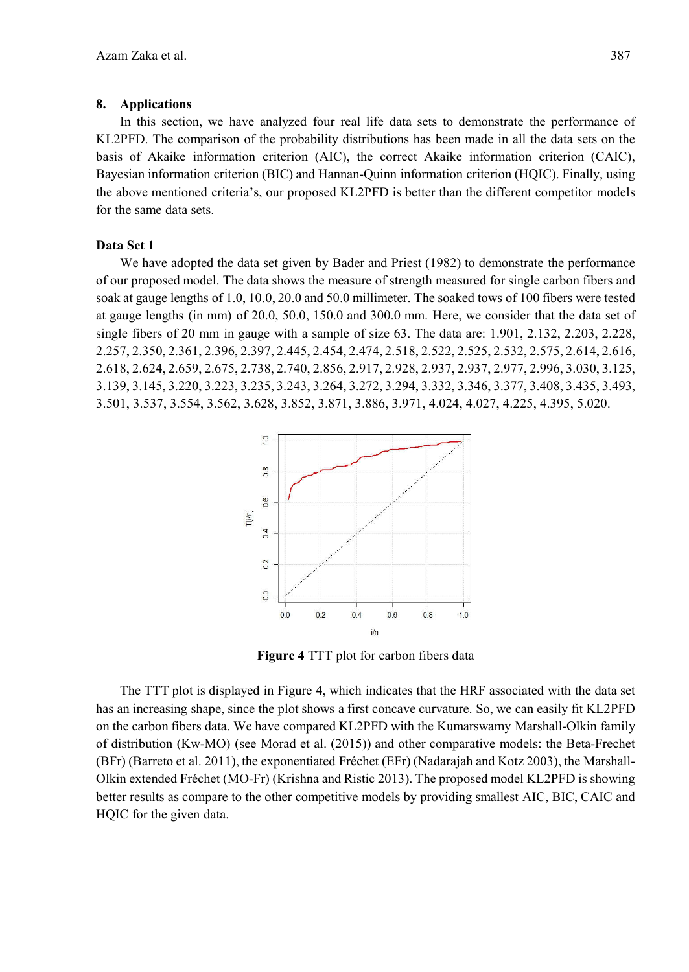#### **8. Applications**

In this section, we have analyzed four real life data sets to demonstrate the performance of KL2PFD. The comparison of the probability distributions has been made in all the data sets on the basis of Akaike information criterion (AIC), the correct Akaike information criterion (CAIC), Bayesian information criterion (BIC) and Hannan-Quinn information criterion (HQIC). Finally, using the above mentioned criteria's, our proposed KL2PFD is better than the different competitor models for the same data sets.

#### **Data Set 1**

We have adopted the data set given by Bader and Priest (1982) to demonstrate the performance of our proposed model. The data shows the measure of strength measured for single carbon fibers and soak at gauge lengths of 1.0, 10.0, 20.0 and 50.0 millimeter. The soaked tows of 100 fibers were tested at gauge lengths (in mm) of 20.0, 50.0, 150.0 and 300.0 mm. Here, we consider that the data set of single fibers of 20 mm in gauge with a sample of size 63. The data are: 1.901, 2.132, 2.203, 2.228, 2.257, 2.350, 2.361, 2.396, 2.397, 2.445, 2.454, 2.474, 2.518, 2.522, 2.525, 2.532, 2.575, 2.614, 2.616, 2.618, 2.624, 2.659, 2.675, 2.738, 2.740, 2.856, 2.917, 2.928, 2.937, 2.937, 2.977, 2.996, 3.030, 3.125, 3.139, 3.145, 3.220, 3.223, 3.235, 3.243, 3.264, 3.272, 3.294, 3.332, 3.346, 3.377, 3.408, 3.435, 3.493, 3.501, 3.537, 3.554, 3.562, 3.628, 3.852, 3.871, 3.886, 3.971, 4.024, 4.027, 4.225, 4.395, 5.020.



**Figure 4** TTT plot for carbon fibers data

The TTT plot is displayed in Figure 4, which indicates that the HRF associated with the data set has an increasing shape, since the plot shows a first concave curvature. So, we can easily fit KL2PFD on the carbon fibers data. We have compared KL2PFD with the Kumarswamy Marshall-Olkin family of distribution (Kw-MO) (see Morad et al. (2015)) and other comparative models: the Beta-Frechet (BFr) (Barreto et al. 2011), the exponentiated Fréchet (EFr) (Nadarajah and Kotz 2003), the Marshall-Olkin extended Fréchet (MO-Fr) (Krishna and Ristic 2013). The proposed model KL2PFD is showing better results as compare to the other competitive models by providing smallest AIC, BIC, CAIC and HQIC for the given data.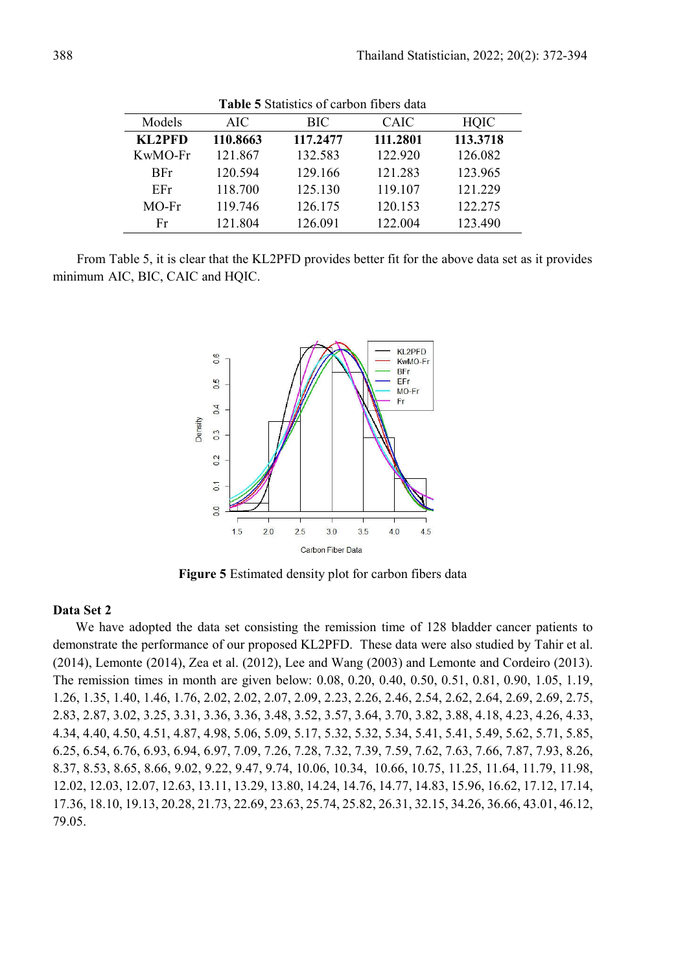|            | Table o blaustics of carbon flocis data |          |             |          |  |  |  |
|------------|-----------------------------------------|----------|-------------|----------|--|--|--|
| Models     | AIC.                                    | BIC      | <b>CAIC</b> | HOIC     |  |  |  |
| KL2PFD     | 110.8663                                | 117.2477 | 111.2801    | 113.3718 |  |  |  |
| $KwMO$ -Fr | 121.867                                 | 132.583  | 122.920     | 126.082  |  |  |  |
| <b>BFr</b> | 120.594                                 | 129.166  | 121 283     | 123.965  |  |  |  |
| EFr.       | 118.700                                 | 125.130  | 119.107     | 121.229  |  |  |  |
| $MO$ -Fr   | 119.746                                 | 126.175  | 120.153     | 122.275  |  |  |  |
| Fr         | 121.804                                 | 126.091  | 122.004     | 123.490  |  |  |  |

**Table 5** Statistics of carbon fibers data

From Table 5, it is clear that the KL2PFD provides better fit for the above data set as it provides minimum AIC, BIC, CAIC and HQIC.



**Figure 5** Estimated density plot for carbon fibers data

#### **Data Set 2**

We have adopted the data set consisting the remission time of 128 bladder cancer patients to demonstrate the performance of our proposed KL2PFD. These data were also studied by Tahir et al. (2014), Lemonte (2014), Zea et al. (2012), Lee and Wang (2003) and Lemonte and Cordeiro (2013). The remission times in month are given below: 0.08, 0.20, 0.40, 0.50, 0.51, 0.81, 0.90, 1.05, 1.19, 1.26, 1.35, 1.40, 1.46, 1.76, 2.02, 2.02, 2.07, 2.09, 2.23, 2.26, 2.46, 2.54, 2.62, 2.64, 2.69, 2.69, 2.75, 2.83, 2.87, 3.02, 3.25, 3.31, 3.36, 3.36, 3.48, 3.52, 3.57, 3.64, 3.70, 3.82, 3.88, 4.18, 4.23, 4.26, 4.33, 4.34, 4.40, 4.50, 4.51, 4.87, 4.98, 5.06, 5.09, 5.17, 5.32, 5.32, 5.34, 5.41, 5.41, 5.49, 5.62, 5.71, 5.85, 6.25, 6.54, 6.76, 6.93, 6.94, 6.97, 7.09, 7.26, 7.28, 7.32, 7.39, 7.59, 7.62, 7.63, 7.66, 7.87, 7.93, 8.26, 8.37, 8.53, 8.65, 8.66, 9.02, 9.22, 9.47, 9.74, 10.06, 10.34, 10.66, 10.75, 11.25, 11.64, 11.79, 11.98, 12.02, 12.03, 12.07, 12.63, 13.11, 13.29, 13.80, 14.24, 14.76, 14.77, 14.83, 15.96, 16.62, 17.12, 17.14, 17.36, 18.10, 19.13, 20.28, 21.73, 22.69, 23.63, 25.74, 25.82, 26.31, 32.15, 34.26, 36.66, 43.01, 46.12, 79.05.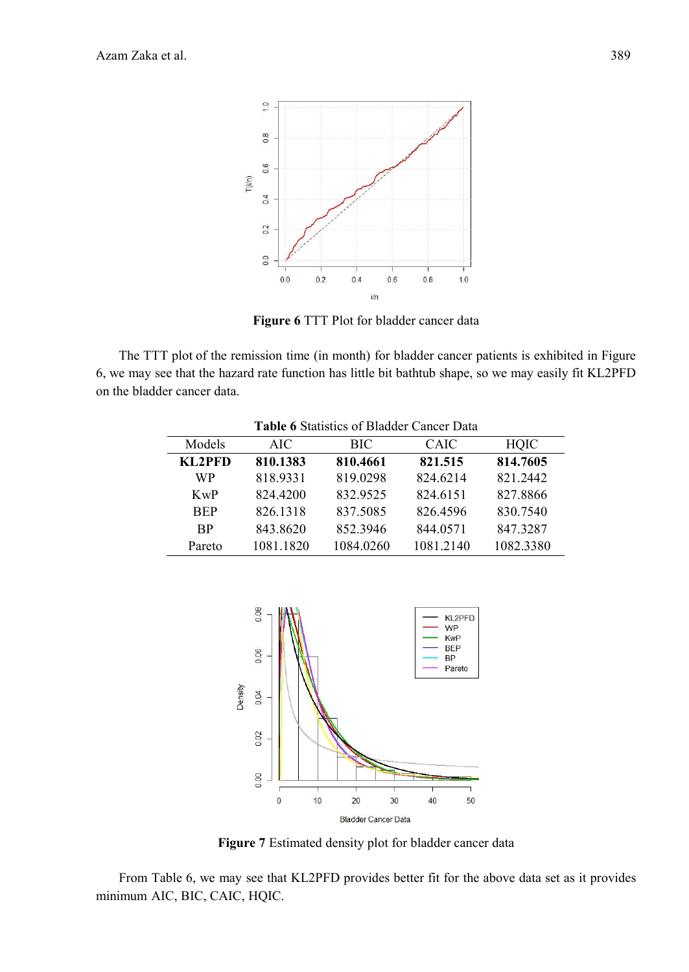

**Figure 6** TTT Plot for bladder cancer data

The TTT plot of the remission time (in month) for bladder cancer patients is exhibited in Figure 6, we may see that the hazard rate function has little bit bathtub shape, so we may easily fit KL2PFD on the bladder cancer data.

|            | <b>Table 6</b> Statistics of Bladder Cancer Data |            |           |             |  |  |  |
|------------|--------------------------------------------------|------------|-----------|-------------|--|--|--|
| Models     | AIC.                                             | <b>BIC</b> | CAIC      | <b>HQIC</b> |  |  |  |
| KL2PFD     | 810.1383                                         | 810.4661   | 821.515   | 814.7605    |  |  |  |
| WP         | 818.9331                                         | 819.0298   | 824.6214  | 821 2442    |  |  |  |
| KwP        | 824.4200                                         | 832.9525   | 824.6151  | 827.8866    |  |  |  |
| <b>BEP</b> | 826.1318                                         | 837.5085   | 826.4596  | 830.7540    |  |  |  |
| <b>BP</b>  | 843.8620                                         | 852.3946   | 844.0571  | 847.3287    |  |  |  |
| Pareto     | 1081.1820                                        | 1084.0260  | 1081.2140 | 1082.3380   |  |  |  |

**Table 6** Statistics of Bladder Cancer Data



**Figure 7** Estimated density plot for bladder cancer data

From Table 6, we may see that KL2PFD provides better fit for the above data set as it provides minimum AIC, BIC, CAIC, HQIC.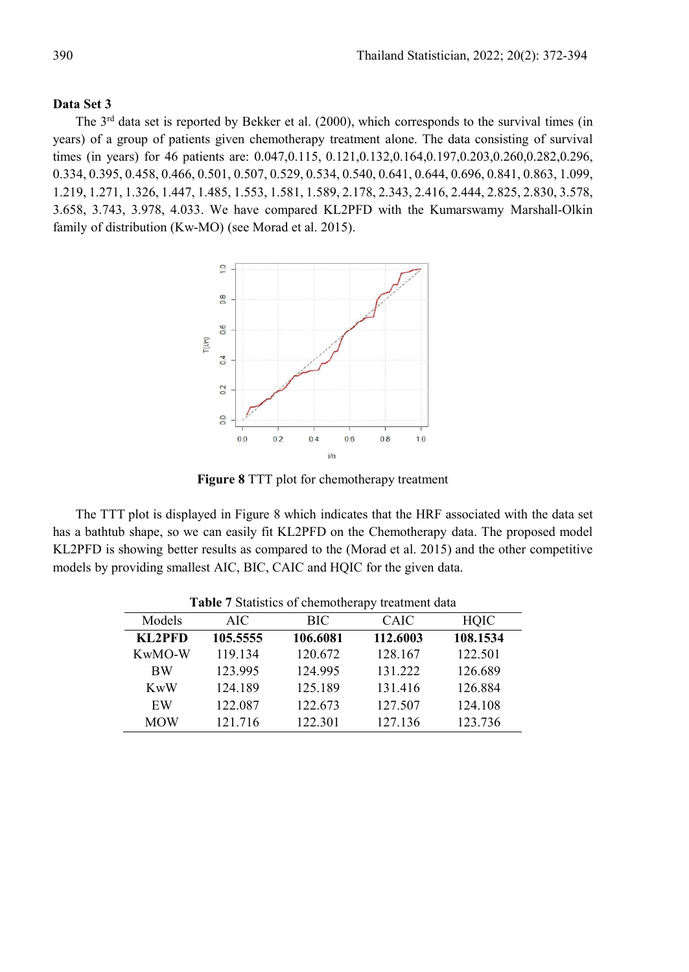# **Data Set 3**

The  $3<sup>rd</sup>$  data set is reported by Bekker et al. (2000), which corresponds to the survival times (in years) of a group of patients given chemotherapy treatment alone. The data consisting of survival times (in years) for 46 patients are: 0.047,0.115, 0.121,0.132,0.164,0.197,0.203,0.260,0.282,0.296, 0.334, 0.395, 0.458, 0.466, 0.501, 0.507, 0.529, 0.534, 0.540, 0.641, 0.644, 0.696, 0.841, 0.863, 1.099, 1.219, 1.271, 1.326, 1.447, 1.485, 1.553, 1.581, 1.589, 2.178, 2.343, 2.416, 2.444, 2.825, 2.830, 3.578, 3.658, 3.743, 3.978, 4.033. We have compared KL2PFD with the Kumarswamy Marshall-Olkin family of distribution (Kw-MO) (see Morad et al. 2015).



**Figure 8** TTT plot for chemotherapy treatment

The TTT plot is displayed in Figure 8 which indicates that the HRF associated with the data set has a bathtub shape, so we can easily fit KL2PFD on the Chemotherapy data. The proposed model KL2PFD is showing better results as compared to the (Morad et al. 2015) and the other competitive models by providing smallest AIC, BIC, CAIC and HQIC for the given data.

|            |          |            | <b>Table</b> / Blatistics of chemoticiapy deathlent data |             |
|------------|----------|------------|----------------------------------------------------------|-------------|
| Models     | AIC.     | <b>BIC</b> | CAIC                                                     | <b>HQIC</b> |
| KL2PFD     | 105.5555 | 106.6081   | 112.6003                                                 | 108.1534    |
| KwMO-W     | 119.134  | 120.672    | 128.167                                                  | 122.501     |
| <b>BW</b>  | 123.995  | 124.995    | 131.222                                                  | 126.689     |
| KwW        | 124.189  | 125.189    | 131.416                                                  | 126.884     |
| EW         | 122.087  | 122.673    | 127.507                                                  | 124.108     |
| <b>MOW</b> | 121.716  | 122.301    | 127.136                                                  | 123.736     |

**Table 7** Statistics of chemotherapy treatment data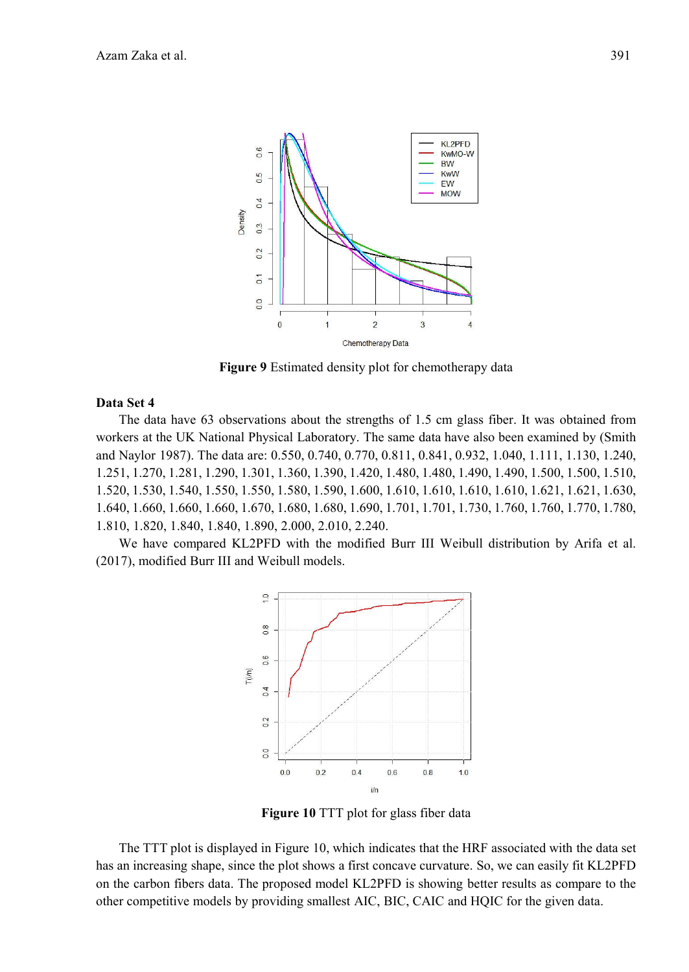

**Figure 9** Estimated density plot for chemotherapy data

## **Data Set 4**

The data have 63 observations about the strengths of 1.5 cm glass fiber. It was obtained from workers at the UK National Physical Laboratory. The same data have also been examined by (Smith and Naylor 1987). The data are: 0.550, 0.740, 0.770, 0.811, 0.841, 0.932, 1.040, 1.111, 1.130, 1.240, 1.251, 1.270, 1.281, 1.290, 1.301, 1.360, 1.390, 1.420, 1.480, 1.480, 1.490, 1.490, 1.500, 1.500, 1.510, 1.520, 1.530, 1.540, 1.550, 1.550, 1.580, 1.590, 1.600, 1.610, 1.610, 1.610, 1.610, 1.621, 1.621, 1.630, 1.640, 1.660, 1.660, 1.660, 1.670, 1.680, 1.680, 1.690, 1.701, 1.701, 1.730, 1.760, 1.760, 1.770, 1.780, 1.810, 1.820, 1.840, 1.840, 1.890, 2.000, 2.010, 2.240.

We have compared KL2PFD with the modified Burr III Weibull distribution by Arifa et al. (2017), modified Burr III and Weibull models.



**Figure 10** TTT plot for glass fiber data

The TTT plot is displayed in Figure 10, which indicates that the HRF associated with the data set has an increasing shape, since the plot shows a first concave curvature. So, we can easily fit KL2PFD on the carbon fibers data. The proposed model KL2PFD is showing better results as compare to the other competitive models by providing smallest AIC, BIC, CAIC and HQIC for the given data.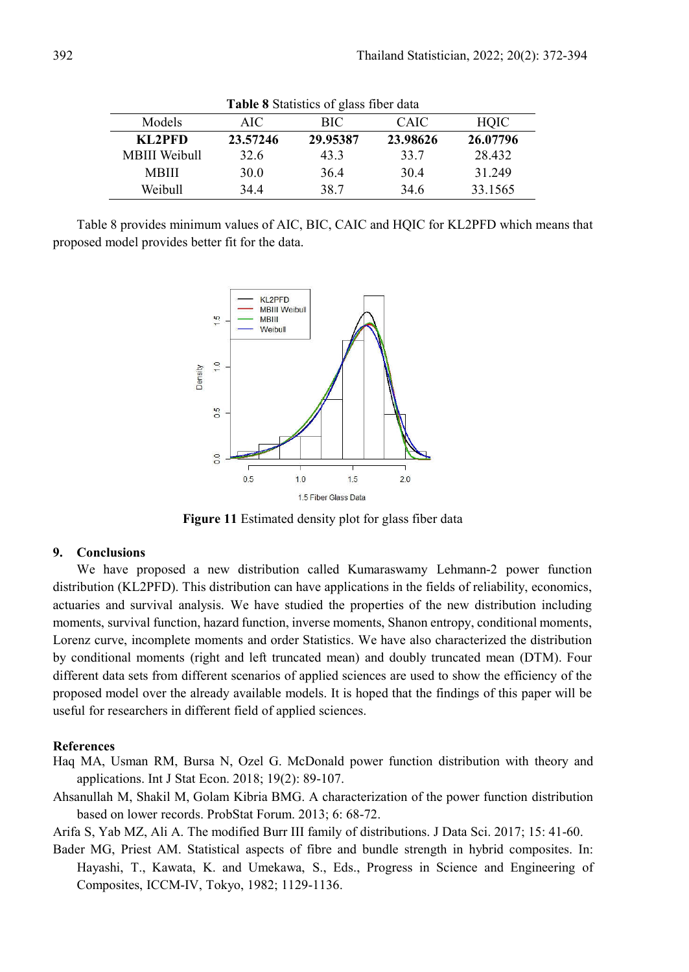| <b>Table 8</b> Statistics of glass fiber data |          |          |             |          |  |  |
|-----------------------------------------------|----------|----------|-------------|----------|--|--|
| Models                                        | AIC.     | BIC.     | <b>CAIC</b> | HOIC     |  |  |
| KL2PFD                                        | 23.57246 | 29.95387 | 23.98626    | 26.07796 |  |  |
| <b>MBIII</b> Weibull                          | 32.6     | 433      | 33.7        | 28.432   |  |  |
| <b>MBIII</b>                                  | 30.0     | 36.4     | 30.4        | 31.249   |  |  |
| Weibull                                       | 344      | 38.7     | 34.6        | 33.1565  |  |  |

Table 8 provides minimum values of AIC, BIC, CAIC and HQIC for KL2PFD which means that proposed model provides better fit for the data.



**Figure 11** Estimated density plot for glass fiber data

#### **9. Conclusions**

We have proposed a new distribution called Kumaraswamy Lehmann-2 power function distribution (KL2PFD). This distribution can have applications in the fields of reliability, economics, actuaries and survival analysis. We have studied the properties of the new distribution including moments, survival function, hazard function, inverse moments, Shanon entropy, conditional moments, Lorenz curve, incomplete moments and order Statistics. We have also characterized the distribution by conditional moments (right and left truncated mean) and doubly truncated mean (DTM). Four different data sets from different scenarios of applied sciences are used to show the efficiency of the proposed model over the already available models. It is hoped that the findings of this paper will be useful for researchers in different field of applied sciences.

#### **References**

- Haq MA, Usman RM, Bursa N, Ozel G. McDonald power function distribution with theory and applications. Int J Stat Econ. 2018; 19(2): 89-107.
- Ahsanullah M, Shakil M, Golam Kibria BMG. A characterization of the power function distribution based on lower records. ProbStat Forum. 2013; 6: 68-72.

Arifa S, Yab MZ, Ali A. The modified Burr III family of distributions. J Data Sci. 2017; 15: 41-60.

Bader MG, Priest AM. Statistical aspects of fibre and bundle strength in hybrid composites. In: Hayashi, T., Kawata, K. and Umekawa, S., Eds., Progress in Science and Engineering of Composites, ICCM-IV, Tokyo, 1982; 1129-1136.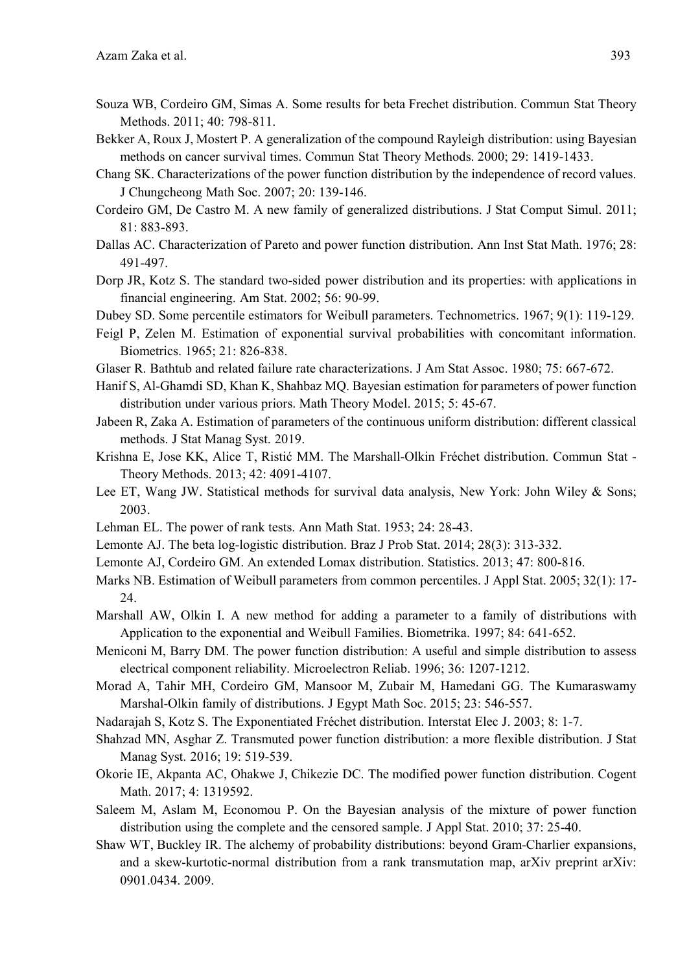- Souza WB, Cordeiro GM, Simas A. Some results for beta Frechet distribution. Commun Stat Theory Methods. 2011; 40: 798-811.
- Bekker A, Roux J, Mostert P. A generalization of the compound Rayleigh distribution: using Bayesian methods on cancer survival times. Commun Stat Theory Methods. 2000; 29: 1419-1433.
- Chang SK. Characterizations of the power function distribution by the independence of record values. J Chungcheong Math Soc. 2007; 20: 139-146.
- Cordeiro GM, De Castro M. A new family of generalized distributions. J Stat Comput Simul. 2011; 81: 883-893.
- Dallas AC. Characterization of Pareto and power function distribution. Ann Inst Stat Math. 1976; 28: 491-497.
- Dorp JR, Kotz S. The standard two-sided power distribution and its properties: with applications in financial engineering. Am Stat. 2002; 56: 90-99.
- Dubey SD. Some percentile estimators for Weibull parameters. Technometrics. 1967; 9(1): 119-129.
- Feigl P, Zelen M. Estimation of exponential survival probabilities with concomitant information. Biometrics. 1965; 21: 826-838.
- Glaser R. Bathtub and related failure rate characterizations. J Am Stat Assoc. 1980; 75: 667-672.
- Hanif S, Al-Ghamdi SD, Khan K, Shahbaz MQ. Bayesian estimation for parameters of power function distribution under various priors. Math Theory Model. 2015; 5: 45-67.
- Jabeen R, Zaka A. Estimation of parameters of the continuous uniform distribution: different classical methods. J Stat Manag Syst. 2019.
- Krishna E, Jose KK, Alice T, Ristić MM. The Marshall-Olkin Fréchet distribution. Commun Stat Theory Methods. 2013; 42: 4091-4107.
- Lee ET, Wang JW. Statistical methods for survival data analysis, New York: John Wiley & Sons; 2003.
- Lehman EL. The power of rank tests. Ann Math Stat. 1953; 24: 28-43.
- Lemonte AJ. The beta log-logistic distribution. Braz J Prob Stat. 2014; 28(3): 313-332.
- Lemonte AJ, Cordeiro GM. An extended Lomax distribution. Statistics. 2013; 47: 800-816.
- Marks NB. Estimation of Weibull parameters from common percentiles. J Appl Stat. 2005; 32(1): 17- 24.
- Marshall AW, Olkin I. A new method for adding a parameter to a family of distributions with Application to the exponential and Weibull Families. Biometrika. 1997; 84: 641-652.
- Meniconi M, Barry DM. The power function distribution: A useful and simple distribution to assess electrical component reliability. Microelectron Reliab. 1996; 36: 1207-1212.
- Morad A, Tahir MH, Cordeiro GM, Mansoor M, Zubair M, Hamedani GG. The Kumaraswamy Marshal-Olkin family of distributions. J Egypt Math Soc. 2015; 23: 546-557.
- Nadarajah S, Kotz S. The Exponentiated Fréchet distribution. Interstat Elec J. 2003; 8: 1-7.
- Shahzad MN, Asghar Z. Transmuted power function distribution: a more flexible distribution. J Stat Manag Syst. 2016; 19: 519-539.
- Okorie IE, Akpanta AC, Ohakwe J, Chikezie DC. The modified power function distribution. Cogent Math. 2017; 4: 1319592.
- Saleem M, Aslam M, Economou P. On the Bayesian analysis of the mixture of power function distribution using the complete and the censored sample. J Appl Stat. 2010; 37: 25-40.
- Shaw WT, Buckley IR. The alchemy of probability distributions: beyond Gram-Charlier expansions, and a skew-kurtotic-normal distribution from a rank transmutation map, arXiv preprint arXiv: 0901.0434. 2009.